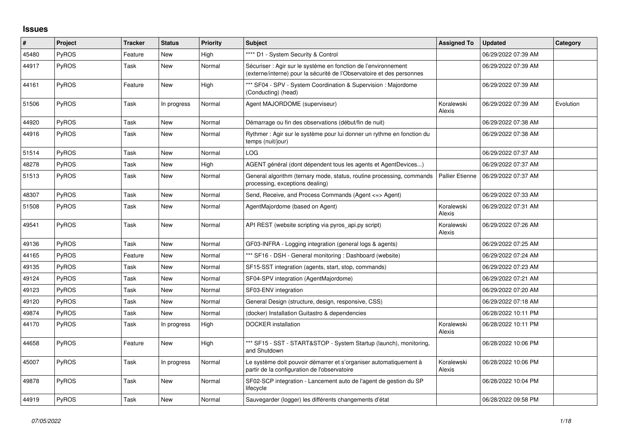## **Issues**

| #     | Project      | <b>Tracker</b> | <b>Status</b> | <b>Priority</b> | Subject                                                                                                                                 | <b>Assigned To</b>   | <b>Updated</b>      | Category  |
|-------|--------------|----------------|---------------|-----------------|-----------------------------------------------------------------------------------------------------------------------------------------|----------------------|---------------------|-----------|
| 45480 | PyROS        | Feature        | New           | High            | **** D1 - System Security & Control                                                                                                     |                      | 06/29/2022 07:39 AM |           |
| 44917 | PyROS        | Task           | <b>New</b>    | Normal          | Sécuriser : Agir sur le système en fonction de l'environnement<br>(externe/interne) pour la sécurité de l'Observatoire et des personnes |                      | 06/29/2022 07:39 AM |           |
| 44161 | <b>PyROS</b> | Feature        | <b>New</b>    | High            | *** SF04 - SPV - System Coordination & Supervision : Majordome<br>(Conducting) (head)                                                   |                      | 06/29/2022 07:39 AM |           |
| 51506 | PyROS        | Task           | In progress   | Normal          | Agent MAJORDOME (superviseur)                                                                                                           | Koralewski<br>Alexis | 06/29/2022 07:39 AM | Evolution |
| 44920 | PyROS        | Task           | <b>New</b>    | Normal          | Démarrage ou fin des observations (début/fin de nuit)                                                                                   |                      | 06/29/2022 07:38 AM |           |
| 44916 | <b>PyROS</b> | Task           | <b>New</b>    | Normal          | Rythmer : Agir sur le système pour lui donner un rythme en fonction du<br>temps (nuit/jour)                                             |                      | 06/29/2022 07:38 AM |           |
| 51514 | <b>PyROS</b> | Task           | <b>New</b>    | Normal          | LOG                                                                                                                                     |                      | 06/29/2022 07:37 AM |           |
| 48278 | PyROS        | Task           | <b>New</b>    | High            | AGENT général (dont dépendent tous les agents et AgentDevices)                                                                          |                      | 06/29/2022 07:37 AM |           |
| 51513 | <b>PyROS</b> | Task           | New           | Normal          | General algorithm (ternary mode, status, routine processing, commands<br>processing, exceptions dealing)                                | Pallier Etienne      | 06/29/2022 07:37 AM |           |
| 48307 | PyROS        | Task           | <b>New</b>    | Normal          | Send, Receive, and Process Commands (Agent <=> Agent)                                                                                   |                      | 06/29/2022 07:33 AM |           |
| 51508 | <b>PyROS</b> | Task           | <b>New</b>    | Normal          | AgentMajordome (based on Agent)                                                                                                         | Koralewski<br>Alexis | 06/29/2022 07:31 AM |           |
| 49541 | PyROS        | Task           | <b>New</b>    | Normal          | API REST (website scripting via pyros_api.py script)                                                                                    | Koralewski<br>Alexis | 06/29/2022 07:26 AM |           |
| 49136 | PyROS        | Task           | <b>New</b>    | Normal          | GF03-INFRA - Logging integration (general logs & agents)                                                                                |                      | 06/29/2022 07:25 AM |           |
| 44165 | PyROS        | Feature        | New           | Normal          | *** SF16 - DSH - General monitoring : Dashboard (website)                                                                               |                      | 06/29/2022 07:24 AM |           |
| 49135 | PyROS        | Task           | <b>New</b>    | Normal          | SF15-SST integration (agents, start, stop, commands)                                                                                    |                      | 06/29/2022 07:23 AM |           |
| 49124 | PyROS        | Task           | <b>New</b>    | Normal          | SF04-SPV integration (AgentMajordome)                                                                                                   |                      | 06/29/2022 07:21 AM |           |
| 49123 | PyROS        | Task           | <b>New</b>    | Normal          | SF03-ENV integration                                                                                                                    |                      | 06/29/2022 07:20 AM |           |
| 49120 | PyROS        | Task           | <b>New</b>    | Normal          | General Design (structure, design, responsive, CSS)                                                                                     |                      | 06/29/2022 07:18 AM |           |
| 49874 | <b>PyROS</b> | Task           | New           | Normal          | (docker) Installation Guitastro & dependencies                                                                                          |                      | 06/28/2022 10:11 PM |           |
| 44170 | <b>PyROS</b> | Task           | In progress   | High            | DOCKER installation                                                                                                                     | Koralewski<br>Alexis | 06/28/2022 10:11 PM |           |
| 44658 | PyROS        | Feature        | New           | High            | *** SF15 - SST - START&STOP - System Startup (launch), monitoring,<br>and Shutdown                                                      |                      | 06/28/2022 10:06 PM |           |
| 45007 | <b>PyROS</b> | Task           | In progress   | Normal          | Le système doit pouvoir démarrer et s'organiser automatiquement à<br>partir de la configuration de l'observatoire                       | Koralewski<br>Alexis | 06/28/2022 10:06 PM |           |
| 49878 | PyROS        | Task           | <b>New</b>    | Normal          | SF02-SCP integration - Lancement auto de l'agent de gestion du SP<br>lifecycle                                                          |                      | 06/28/2022 10:04 PM |           |
| 44919 | PyROS        | Task           | New           | Normal          | Sauvegarder (logger) les différents changements d'état                                                                                  |                      | 06/28/2022 09:58 PM |           |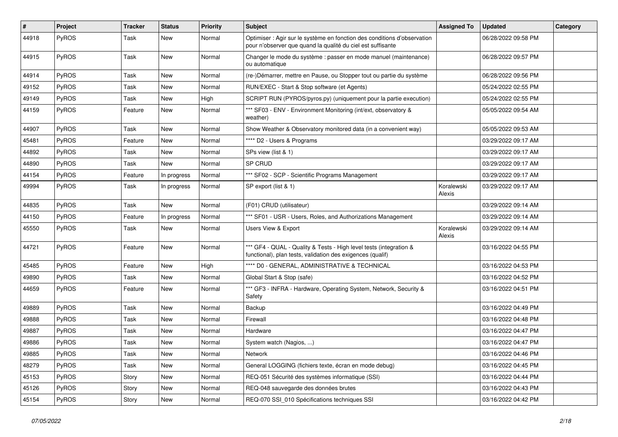| #     | Project      | <b>Tracker</b> | <b>Status</b> | <b>Priority</b> | <b>Subject</b>                                                                                                                          | <b>Assigned To</b>   | <b>Updated</b>      | Category |
|-------|--------------|----------------|---------------|-----------------|-----------------------------------------------------------------------------------------------------------------------------------------|----------------------|---------------------|----------|
| 44918 | PyROS        | Task           | New           | Normal          | Optimiser : Agir sur le système en fonction des conditions d'observation<br>pour n'observer que quand la qualité du ciel est suffisante |                      | 06/28/2022 09:58 PM |          |
| 44915 | PyROS        | Task           | New           | Normal          | Changer le mode du système : passer en mode manuel (maintenance)<br>ou automatique                                                      |                      | 06/28/2022 09:57 PM |          |
| 44914 | PyROS        | Task           | New           | Normal          | (re-)Démarrer, mettre en Pause, ou Stopper tout ou partie du système                                                                    |                      | 06/28/2022 09:56 PM |          |
| 49152 | <b>PyROS</b> | Task           | New           | Normal          | RUN/EXEC - Start & Stop software (et Agents)                                                                                            |                      | 05/24/2022 02:55 PM |          |
| 49149 | PyROS        | Task           | New           | High            | SCRIPT RUN (PYROS/pyros.py) (uniquement pour la partie execution)                                                                       |                      | 05/24/2022 02:55 PM |          |
| 44159 | <b>PyROS</b> | Feature        | New           | Normal          | *** SF03 - ENV - Environment Monitoring (int/ext, observatory &<br>weather)                                                             |                      | 05/05/2022 09:54 AM |          |
| 44907 | PyROS        | Task           | New           | Normal          | Show Weather & Observatory monitored data (in a convenient way)                                                                         |                      | 05/05/2022 09:53 AM |          |
| 45481 | <b>PyROS</b> | Feature        | New           | Normal          | **** D2 - Users & Programs                                                                                                              |                      | 03/29/2022 09:17 AM |          |
| 44892 | PyROS        | Task           | New           | Normal          | SPs view (list & 1)                                                                                                                     |                      | 03/29/2022 09:17 AM |          |
| 44890 | PyROS        | Task           | <b>New</b>    | Normal          | SP CRUD                                                                                                                                 |                      | 03/29/2022 09:17 AM |          |
| 44154 | PyROS        | Feature        | In progress   | Normal          | *** SF02 - SCP - Scientific Programs Management                                                                                         |                      | 03/29/2022 09:17 AM |          |
| 49994 | PyROS        | Task           | In progress   | Normal          | SP export (list & 1)                                                                                                                    | Koralewski<br>Alexis | 03/29/2022 09:17 AM |          |
| 44835 | PyROS        | Task           | New           | Normal          | (F01) CRUD (utilisateur)                                                                                                                |                      | 03/29/2022 09:14 AM |          |
| 44150 | PyROS        | Feature        | In progress   | Normal          | *** SF01 - USR - Users, Roles, and Authorizations Management                                                                            |                      | 03/29/2022 09:14 AM |          |
| 45550 | <b>PyROS</b> | Task           | New           | Normal          | <b>Users View &amp; Export</b>                                                                                                          | Koralewski<br>Alexis | 03/29/2022 09:14 AM |          |
| 44721 | PyROS        | Feature        | New           | Normal          | *** GF4 - QUAL - Quality & Tests - High level tests (integration &<br>functional), plan tests, validation des exigences (qualif)        |                      | 03/16/2022 04:55 PM |          |
| 45485 | PyROS        | Feature        | New           | High            | **** D0 - GENERAL, ADMINISTRATIVE & TECHNICAL                                                                                           |                      | 03/16/2022 04:53 PM |          |
| 49890 | PyROS        | Task           | New           | Normal          | Global Start & Stop (safe)                                                                                                              |                      | 03/16/2022 04:52 PM |          |
| 44659 | PyROS        | Feature        | New           | Normal          | *** GF3 - INFRA - Hardware, Operating System, Network, Security &<br>Safety                                                             |                      | 03/16/2022 04:51 PM |          |
| 49889 | <b>PyROS</b> | Task           | New           | Normal          | Backup                                                                                                                                  |                      | 03/16/2022 04:49 PM |          |
| 49888 | PyROS        | Task           | New           | Normal          | Firewall                                                                                                                                |                      | 03/16/2022 04:48 PM |          |
| 49887 | PyROS        | Task           | New           | Normal          | Hardware                                                                                                                                |                      | 03/16/2022 04:47 PM |          |
| 49886 | PyROS        | Task           | New           | Normal          | System watch (Nagios, )                                                                                                                 |                      | 03/16/2022 04:47 PM |          |
| 49885 | PyROS        | Task           | New           | Normal          | Network                                                                                                                                 |                      | 03/16/2022 04:46 PM |          |
| 48279 | PyROS        | Task           | New           | Normal          | General LOGGING (fichiers texte, écran en mode debug)                                                                                   |                      | 03/16/2022 04:45 PM |          |
| 45153 | PyROS        | Story          | New           | Normal          | REQ-051 Sécurité des systèmes informatique (SSI)                                                                                        |                      | 03/16/2022 04:44 PM |          |
| 45126 | PyROS        | Story          | New           | Normal          | REQ-048 sauvegarde des données brutes                                                                                                   |                      | 03/16/2022 04:43 PM |          |
| 45154 | PyROS        | Story          | New           | Normal          | REQ-070 SSI_010 Spécifications techniques SSI                                                                                           |                      | 03/16/2022 04:42 PM |          |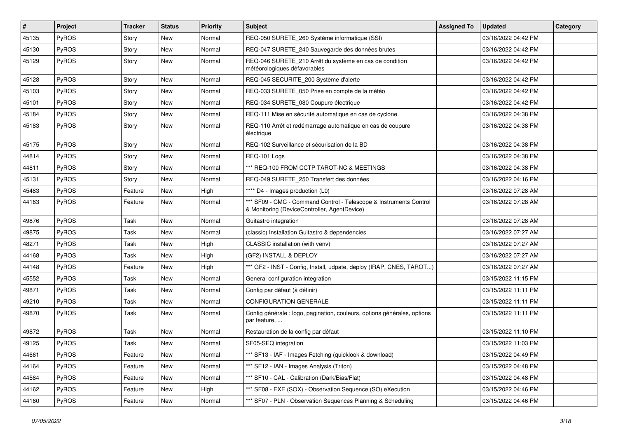| #     | Project      | <b>Tracker</b> | <b>Status</b> | <b>Priority</b> | <b>Subject</b>                                                                                                     | <b>Assigned To</b> | <b>Updated</b>      | Category |
|-------|--------------|----------------|---------------|-----------------|--------------------------------------------------------------------------------------------------------------------|--------------------|---------------------|----------|
| 45135 | PyROS        | Story          | <b>New</b>    | Normal          | REQ-050 SURETE_260 Système informatique (SSI)                                                                      |                    | 03/16/2022 04:42 PM |          |
| 45130 | PyROS        | Story          | New           | Normal          | REQ-047 SURETE_240 Sauvegarde des données brutes                                                                   |                    | 03/16/2022 04:42 PM |          |
| 45129 | <b>PyROS</b> | Story          | New           | Normal          | REQ-046 SURETE 210 Arrêt du système en cas de condition<br>météorologiques défavorables                            |                    | 03/16/2022 04:42 PM |          |
| 45128 | PyROS        | Story          | <b>New</b>    | Normal          | REQ-045 SECURITE_200 Système d'alerte                                                                              |                    | 03/16/2022 04:42 PM |          |
| 45103 | <b>PyROS</b> | Story          | New           | Normal          | REQ-033 SURETE_050 Prise en compte de la météo                                                                     |                    | 03/16/2022 04:42 PM |          |
| 45101 | PyROS        | Story          | <b>New</b>    | Normal          | REQ-034 SURETE_080 Coupure électrique                                                                              |                    | 03/16/2022 04:42 PM |          |
| 45184 | PyROS        | Story          | New           | Normal          | REQ-111 Mise en sécurité automatique en cas de cyclone                                                             |                    | 03/16/2022 04:38 PM |          |
| 45183 | PyROS        | Story          | New           | Normal          | REQ-110 Arrêt et redémarrage automatique en cas de coupure<br>électrique                                           |                    | 03/16/2022 04:38 PM |          |
| 45175 | PyROS        | Story          | New           | Normal          | REQ-102 Surveillance et sécurisation de la BD                                                                      |                    | 03/16/2022 04:38 PM |          |
| 44814 | PyROS        | Story          | New           | Normal          | REQ-101 Logs                                                                                                       |                    | 03/16/2022 04:38 PM |          |
| 44811 | PyROS        | Story          | <b>New</b>    | Normal          | *** REQ-100 FROM CCTP TAROT-NC & MEETINGS                                                                          |                    | 03/16/2022 04:38 PM |          |
| 45131 | PyROS        | Story          | New           | Normal          | REQ-049 SURETE 250 Transfert des données                                                                           |                    | 03/16/2022 04:16 PM |          |
| 45483 | PyROS        | Feature        | <b>New</b>    | High            | **** D4 - Images production (L0)                                                                                   |                    | 03/16/2022 07:28 AM |          |
| 44163 | PyROS        | Feature        | New           | Normal          | *** SF09 - CMC - Command Control - Telescope & Instruments Control<br>& Monitoring (DeviceController, AgentDevice) |                    | 03/16/2022 07:28 AM |          |
| 49876 | PyROS        | Task           | New           | Normal          | Guitastro integration                                                                                              |                    | 03/16/2022 07:28 AM |          |
| 49875 | PyROS        | Task           | <b>New</b>    | Normal          | (classic) Installation Guitastro & dependencies                                                                    |                    | 03/16/2022 07:27 AM |          |
| 48271 | PyROS        | Task           | New           | High            | CLASSIC installation (with venv)                                                                                   |                    | 03/16/2022 07:27 AM |          |
| 44168 | PyROS        | Task           | New           | High            | (GF2) INSTALL & DEPLOY                                                                                             |                    | 03/16/2022 07:27 AM |          |
| 44148 | PyROS        | Feature        | New           | High            | *** GF2 - INST - Config, Install, udpate, deploy (IRAP, CNES, TAROT)                                               |                    | 03/16/2022 07:27 AM |          |
| 45552 | PyROS        | Task           | New           | Normal          | General configuration integration                                                                                  |                    | 03/15/2022 11:15 PM |          |
| 49871 | PyROS        | Task           | New           | Normal          | Config par défaut (à définir)                                                                                      |                    | 03/15/2022 11:11 PM |          |
| 49210 | PyROS        | Task           | New           | Normal          | <b>CONFIGURATION GENERALE</b>                                                                                      |                    | 03/15/2022 11:11 PM |          |
| 49870 | PyROS        | Task           | New           | Normal          | Config générale : logo, pagination, couleurs, options générales, options<br>par feature,                           |                    | 03/15/2022 11:11 PM |          |
| 49872 | PyROS        | Task           | New           | Normal          | Restauration de la config par défaut                                                                               |                    | 03/15/2022 11:10 PM |          |
| 49125 | PyROS        | Task           | New           | Normal          | SF05-SEQ integration                                                                                               |                    | 03/15/2022 11:03 PM |          |
| 44661 | PyROS        | Feature        | New           | Normal          | *** SF13 - IAF - Images Fetching (quicklook & download)                                                            |                    | 03/15/2022 04:49 PM |          |
| 44164 | PyROS        | Feature        | New           | Normal          | *** SF12 - IAN - Images Analysis (Triton)                                                                          |                    | 03/15/2022 04:48 PM |          |
| 44584 | PyROS        | Feature        | New           | Normal          | *** SF10 - CAL - Calibration (Dark/Bias/Flat)                                                                      |                    | 03/15/2022 04:48 PM |          |
| 44162 | PyROS        | Feature        | New           | High            | *** SF08 - EXE (SOX) - Observation Sequence (SO) eXecution                                                         |                    | 03/15/2022 04:46 PM |          |
| 44160 | PyROS        | Feature        | New           | Normal          | *** SF07 - PLN - Observation Sequences Planning & Scheduling                                                       |                    | 03/15/2022 04:46 PM |          |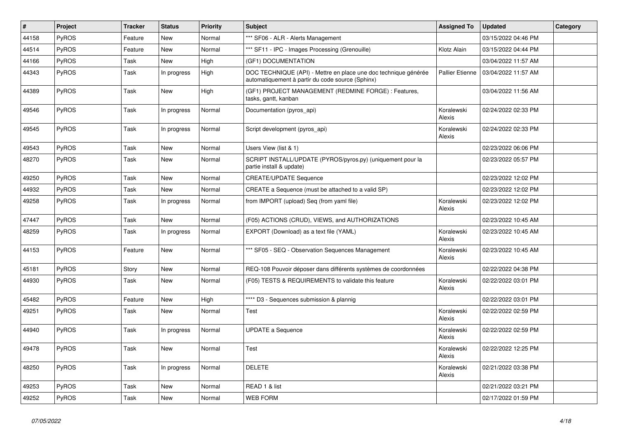| $\pmb{\sharp}$ | Project      | <b>Tracker</b> | <b>Status</b> | <b>Priority</b> | <b>Subject</b>                                                                                                      | <b>Assigned To</b>     | <b>Updated</b>      | Category |
|----------------|--------------|----------------|---------------|-----------------|---------------------------------------------------------------------------------------------------------------------|------------------------|---------------------|----------|
| 44158          | PyROS        | Feature        | <b>New</b>    | Normal          | *** SF06 - ALR - Alerts Management                                                                                  |                        | 03/15/2022 04:46 PM |          |
| 44514          | PyROS        | Feature        | <b>New</b>    | Normal          | *** SF11 - IPC - Images Processing (Grenouille)                                                                     | Klotz Alain            | 03/15/2022 04:44 PM |          |
| 44166          | PyROS        | Task           | New           | High            | (GF1) DOCUMENTATION                                                                                                 |                        | 03/04/2022 11:57 AM |          |
| 44343          | <b>PyROS</b> | Task           | In progress   | High            | DOC TECHNIQUE (API) - Mettre en place une doc technique générée<br>automatiquement à partir du code source (Sphinx) | <b>Pallier Etienne</b> | 03/04/2022 11:57 AM |          |
| 44389          | PyROS        | Task           | <b>New</b>    | High            | (GF1) PROJECT MANAGEMENT (REDMINE FORGE) : Features,<br>tasks, gantt, kanban                                        |                        | 03/04/2022 11:56 AM |          |
| 49546          | PyROS        | Task           | In progress   | Normal          | Documentation (pyros_api)                                                                                           | Koralewski<br>Alexis   | 02/24/2022 02:33 PM |          |
| 49545          | <b>PyROS</b> | Task           | In progress   | Normal          | Script development (pyros_api)                                                                                      | Koralewski<br>Alexis   | 02/24/2022 02:33 PM |          |
| 49543          | PyROS        | Task           | <b>New</b>    | Normal          | Users View (list & 1)                                                                                               |                        | 02/23/2022 06:06 PM |          |
| 48270          | <b>PyROS</b> | Task           | New           | Normal          | SCRIPT INSTALL/UPDATE (PYROS/pyros.py) (uniquement pour la<br>partie install & update)                              |                        | 02/23/2022 05:57 PM |          |
| 49250          | PyROS        | Task           | <b>New</b>    | Normal          | <b>CREATE/UPDATE Sequence</b>                                                                                       |                        | 02/23/2022 12:02 PM |          |
| 44932          | PyROS        | Task           | <b>New</b>    | Normal          | CREATE a Sequence (must be attached to a valid SP)                                                                  |                        | 02/23/2022 12:02 PM |          |
| 49258          | PyROS        | Task           | In progress   | Normal          | from IMPORT (upload) Seq (from yaml file)                                                                           | Koralewski<br>Alexis   | 02/23/2022 12:02 PM |          |
| 47447          | PyROS        | Task           | <b>New</b>    | Normal          | (F05) ACTIONS (CRUD), VIEWS, and AUTHORIZATIONS                                                                     |                        | 02/23/2022 10:45 AM |          |
| 48259          | <b>PyROS</b> | Task           | In progress   | Normal          | EXPORT (Download) as a text file (YAML)                                                                             | Koralewski<br>Alexis   | 02/23/2022 10:45 AM |          |
| 44153          | PyROS        | Feature        | <b>New</b>    | Normal          | *** SF05 - SEQ - Observation Sequences Management                                                                   | Koralewski<br>Alexis   | 02/23/2022 10:45 AM |          |
| 45181          | PyROS        | Story          | <b>New</b>    | Normal          | REQ-108 Pouvoir déposer dans différents systèmes de coordonnées                                                     |                        | 02/22/2022 04:38 PM |          |
| 44930          | PyROS        | Task           | <b>New</b>    | Normal          | (F05) TESTS & REQUIREMENTS to validate this feature                                                                 | Koralewski<br>Alexis   | 02/22/2022 03:01 PM |          |
| 45482          | PyROS        | Feature        | New           | High            | **** D3 - Sequences submission & plannig                                                                            |                        | 02/22/2022 03:01 PM |          |
| 49251          | PyROS        | Task           | <b>New</b>    | Normal          | Test                                                                                                                | Koralewski<br>Alexis   | 02/22/2022 02:59 PM |          |
| 44940          | <b>PyROS</b> | Task           | In progress   | Normal          | <b>UPDATE a Sequence</b>                                                                                            | Koralewski<br>Alexis   | 02/22/2022 02:59 PM |          |
| 49478          | PyROS        | Task           | <b>New</b>    | Normal          | Test                                                                                                                | Koralewski<br>Alexis   | 02/22/2022 12:25 PM |          |
| 48250          | PyROS        | Task           | In progress   | Normal          | <b>DELETE</b>                                                                                                       | Koralewski<br>Alexis   | 02/21/2022 03:38 PM |          |
| 49253          | PyROS        | Task           | <b>New</b>    | Normal          | READ 1 & list                                                                                                       |                        | 02/21/2022 03:21 PM |          |
| 49252          | PyROS        | Task           | <b>New</b>    | Normal          | <b>WEB FORM</b>                                                                                                     |                        | 02/17/2022 01:59 PM |          |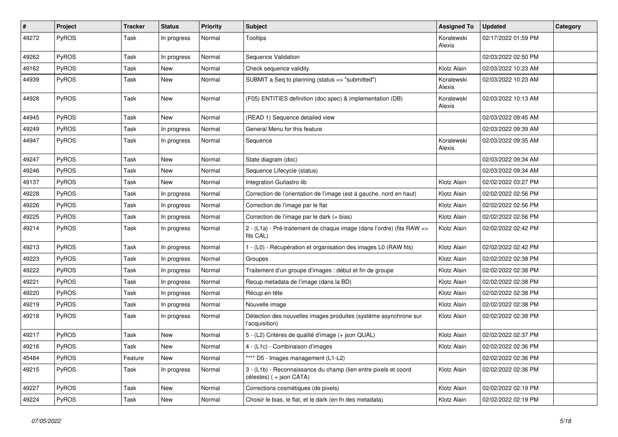| #     | Project      | <b>Tracker</b> | <b>Status</b> | <b>Priority</b> | <b>Subject</b>                                                                              | <b>Assigned To</b>   | <b>Updated</b>      | Category |
|-------|--------------|----------------|---------------|-----------------|---------------------------------------------------------------------------------------------|----------------------|---------------------|----------|
| 49272 | <b>PyROS</b> | Task           | In progress   | Normal          | <b>Tooltips</b>                                                                             | Koralewski<br>Alexis | 02/17/2022 01:59 PM |          |
| 49262 | <b>PyROS</b> | Task           | In progress   | Normal          | Sequence Validation                                                                         |                      | 02/03/2022 02:50 PM |          |
| 49162 | PyROS        | Task           | New           | Normal          | Check sequence validity                                                                     | Klotz Alain          | 02/03/2022 10:23 AM |          |
| 44939 | <b>PyROS</b> | Task           | New           | Normal          | SUBMIT a Seq to planning (status => "submitted")                                            | Koralewski<br>Alexis | 02/03/2022 10:23 AM |          |
| 44928 | <b>PyROS</b> | Task           | New           | Normal          | (F05) ENTITIES definition (doc spec) & implementation (DB)                                  | Koralewski<br>Alexis | 02/03/2022 10:13 AM |          |
| 44945 | <b>PyROS</b> | Task           | New           | Normal          | (READ 1) Sequence detailed view                                                             |                      | 02/03/2022 09:45 AM |          |
| 49249 | PyROS        | Task           | In progress   | Normal          | General Menu for this feature                                                               |                      | 02/03/2022 09:39 AM |          |
| 44947 | <b>PyROS</b> | Task           | In progress   | Normal          | Sequence                                                                                    | Koralewski<br>Alexis | 02/03/2022 09:35 AM |          |
| 49247 | PyROS        | Task           | New           | Normal          | State diagram (doc)                                                                         |                      | 02/03/2022 09:34 AM |          |
| 49246 | <b>PyROS</b> | Task           | New           | Normal          | Sequence Lifecycle (status)                                                                 |                      | 02/03/2022 09:34 AM |          |
| 49137 | <b>PyROS</b> | Task           | New           | Normal          | Integration Guitastro lib                                                                   | Klotz Alain          | 02/02/2022 03:27 PM |          |
| 49228 | <b>PyROS</b> | Task           | In progress   | Normal          | Correction de l'orientation de l'image (est à gauche, nord en haut)                         | Klotz Alain          | 02/02/2022 02:56 PM |          |
| 49226 | <b>PyROS</b> | Task           | In progress   | Normal          | Correction de l'image par le flat                                                           | Klotz Alain          | 02/02/2022 02:56 PM |          |
| 49225 | PyROS        | Task           | In progress   | Normal          | Correction de l'image par le dark (+ bias)                                                  | Klotz Alain          | 02/02/2022 02:56 PM |          |
| 49214 | <b>PyROS</b> | Task           | In progress   | Normal          | 2 - (L1a) - Pré-traitement de chaque image (dans l'ordre) (fits RAW =><br>fits CAL)         | Klotz Alain          | 02/02/2022 02:42 PM |          |
| 49213 | <b>PyROS</b> | Task           | In progress   | Normal          | 1 - (L0) - Récupération et organisation des images L0 (RAW fits)                            | Klotz Alain          | 02/02/2022 02:42 PM |          |
| 49223 | <b>PyROS</b> | Task           | In progress   | Normal          | Groupes                                                                                     | Klotz Alain          | 02/02/2022 02:38 PM |          |
| 49222 | <b>PyROS</b> | Task           | In progress   | Normal          | Traitement d'un groupe d'images : début et fin de groupe                                    | Klotz Alain          | 02/02/2022 02:38 PM |          |
| 49221 | PyROS        | Task           | In progress   | Normal          | Recup metadata de l'image (dans la BD)                                                      | Klotz Alain          | 02/02/2022 02:38 PM |          |
| 49220 | PyROS        | Task           | In progress   | Normal          | Récup en-tête                                                                               | Klotz Alain          | 02/02/2022 02:38 PM |          |
| 49219 | <b>PyROS</b> | Task           | In progress   | Normal          | Nouvelle image                                                                              | Klotz Alain          | 02/02/2022 02:38 PM |          |
| 49218 | <b>PyROS</b> | Task           | In progress   | Normal          | Détection des nouvelles images produites (système asynchrone sur<br>l'acquisition)          | Klotz Alain          | 02/02/2022 02:38 PM |          |
| 49217 | <b>PyROS</b> | Task           | New           | Normal          | 5 - (L2) Critères de qualité d'image (+ json QUAL)                                          | Klotz Alain          | 02/02/2022 02:37 PM |          |
| 49216 | PyROS        | Task           | New           | Normal          | 4 - (L1c) - Combinaison d'images                                                            | Klotz Alain          | 02/02/2022 02:36 PM |          |
| 45484 | PyROS        | Feature        | New           | Normal          | **** D5 - Images management (L1-L2)                                                         |                      | 02/02/2022 02:36 PM |          |
| 49215 | PyROS        | Task           | In progress   | Normal          | 3 - (L1b) - Reconnaissance du champ (lien entre pixels et coord<br>célestes) ( + json CATA) | Klotz Alain          | 02/02/2022 02:36 PM |          |
| 49227 | PyROS        | Task           | New           | Normal          | Corrections cosmétiques (de pixels)                                                         | Klotz Alain          | 02/02/2022 02:19 PM |          |
| 49224 | PyROS        | Task           | New           | Normal          | Choisir le bias, le flat, et le dark (en fn des metadata)                                   | Klotz Alain          | 02/02/2022 02:19 PM |          |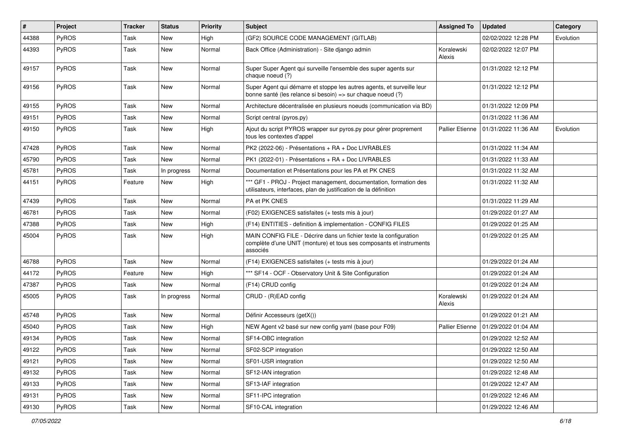| #     | Project | <b>Tracker</b> | <b>Status</b> | <b>Priority</b> | <b>Subject</b>                                                                                                                                       | <b>Assigned To</b>     | <b>Updated</b>      | Category  |
|-------|---------|----------------|---------------|-----------------|------------------------------------------------------------------------------------------------------------------------------------------------------|------------------------|---------------------|-----------|
| 44388 | PyROS   | Task           | New           | High            | (GF2) SOURCE CODE MANAGEMENT (GITLAB)                                                                                                                |                        | 02/02/2022 12:28 PM | Evolution |
| 44393 | PyROS   | Task           | New           | Normal          | Back Office (Administration) - Site django admin                                                                                                     | Koralewski<br>Alexis   | 02/02/2022 12:07 PM |           |
| 49157 | PyROS   | Task           | New           | Normal          | Super Super Agent qui surveille l'ensemble des super agents sur<br>chaque noeud (?)                                                                  |                        | 01/31/2022 12:12 PM |           |
| 49156 | PyROS   | Task           | New           | Normal          | Super Agent qui démarre et stoppe les autres agents, et surveille leur<br>bonne santé (les relance si besoin) => sur chaque noeud (?)                |                        | 01/31/2022 12:12 PM |           |
| 49155 | PyROS   | Task           | New           | Normal          | Architecture décentralisée en plusieurs noeuds (communication via BD)                                                                                |                        | 01/31/2022 12:09 PM |           |
| 49151 | PyROS   | Task           | New           | Normal          | Script central (pyros.py)                                                                                                                            |                        | 01/31/2022 11:36 AM |           |
| 49150 | PyROS   | Task           | New           | High            | Ajout du script PYROS wrapper sur pyros.py pour gérer proprement<br>tous les contextes d'appel                                                       | <b>Pallier Etienne</b> | 01/31/2022 11:36 AM | Evolution |
| 47428 | PyROS   | Task           | New           | Normal          | PK2 (2022-06) - Présentations + RA + Doc LIVRABLES                                                                                                   |                        | 01/31/2022 11:34 AM |           |
| 45790 | PyROS   | Task           | <b>New</b>    | Normal          | PK1 (2022-01) - Présentations + RA + Doc LIVRABLES                                                                                                   |                        | 01/31/2022 11:33 AM |           |
| 45781 | PyROS   | Task           | In progress   | Normal          | Documentation et Présentations pour les PA et PK CNES                                                                                                |                        | 01/31/2022 11:32 AM |           |
| 44151 | PyROS   | Feature        | <b>New</b>    | High            | *** GF1 - PROJ - Project management, documentation, formation des<br>utilisateurs, interfaces, plan de justification de la définition                |                        | 01/31/2022 11:32 AM |           |
| 47439 | PyROS   | Task           | <b>New</b>    | Normal          | PA et PK CNES                                                                                                                                        |                        | 01/31/2022 11:29 AM |           |
| 46781 | PyROS   | Task           | New           | Normal          | (F02) EXIGENCES satisfaites (+ tests mis à jour)                                                                                                     |                        | 01/29/2022 01:27 AM |           |
| 47388 | PyROS   | Task           | New           | High            | (F14) ENTITIES - definition & implementation - CONFIG FILES                                                                                          |                        | 01/29/2022 01:25 AM |           |
| 45004 | PyROS   | Task           | New           | High            | MAIN CONFIG FILE - Décrire dans un fichier texte la configuration<br>complète d'une UNIT (monture) et tous ses composants et instruments<br>associés |                        | 01/29/2022 01:25 AM |           |
| 46788 | PyROS   | Task           | New           | Normal          | (F14) EXIGENCES satisfaites (+ tests mis à jour)                                                                                                     |                        | 01/29/2022 01:24 AM |           |
| 44172 | PyROS   | Feature        | New           | High            | *** SF14 - OCF - Observatory Unit & Site Configuration                                                                                               |                        | 01/29/2022 01:24 AM |           |
| 47387 | PyROS   | Task           | New           | Normal          | (F14) CRUD config                                                                                                                                    |                        | 01/29/2022 01:24 AM |           |
| 45005 | PyROS   | Task           | In progress   | Normal          | CRUD - (R)EAD config                                                                                                                                 | Koralewski<br>Alexis   | 01/29/2022 01:24 AM |           |
| 45748 | PyROS   | Task           | New           | Normal          | Définir Accesseurs (getX())                                                                                                                          |                        | 01/29/2022 01:21 AM |           |
| 45040 | PyROS   | Task           | <b>New</b>    | High            | NEW Agent v2 basé sur new config yaml (base pour F09)                                                                                                | <b>Pallier Etienne</b> | 01/29/2022 01:04 AM |           |
| 49134 | PyROS   | Task           | New           | Normal          | SF14-OBC integration                                                                                                                                 |                        | 01/29/2022 12:52 AM |           |
| 49122 | PyROS   | Task           | New           | Normal          | SF02-SCP integration                                                                                                                                 |                        | 01/29/2022 12:50 AM |           |
| 49121 | PyROS   | Task           | New           | Normal          | SF01-USR integration                                                                                                                                 |                        | 01/29/2022 12:50 AM |           |
| 49132 | PyROS   | Task           | New           | Normal          | SF12-IAN integration                                                                                                                                 |                        | 01/29/2022 12:48 AM |           |
| 49133 | PyROS   | Task           | New           | Normal          | SF13-IAF integration                                                                                                                                 |                        | 01/29/2022 12:47 AM |           |
| 49131 | PyROS   | Task           | New           | Normal          | SF11-IPC integration                                                                                                                                 |                        | 01/29/2022 12:46 AM |           |
| 49130 | PyROS   | Task           | New           | Normal          | SF10-CAL integration                                                                                                                                 |                        | 01/29/2022 12:46 AM |           |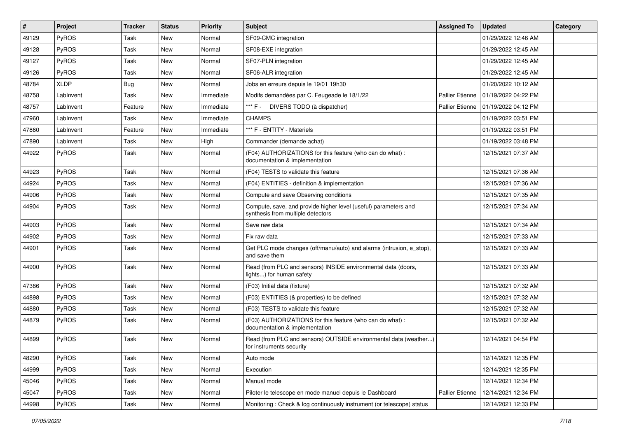| #     | Project      | <b>Tracker</b> | <b>Status</b> | <b>Priority</b> | Subject                                                                                              | <b>Assigned To</b>     | <b>Updated</b>      | Category |
|-------|--------------|----------------|---------------|-----------------|------------------------------------------------------------------------------------------------------|------------------------|---------------------|----------|
| 49129 | <b>PyROS</b> | Task           | New           | Normal          | SF09-CMC integration                                                                                 |                        | 01/29/2022 12:46 AM |          |
| 49128 | PyROS        | Task           | New           | Normal          | SF08-EXE integration                                                                                 |                        | 01/29/2022 12:45 AM |          |
| 49127 | <b>PyROS</b> | Task           | New           | Normal          | SF07-PLN integration                                                                                 |                        | 01/29/2022 12:45 AM |          |
| 49126 | PyROS        | Task           | New           | Normal          | SF06-ALR integration                                                                                 |                        | 01/29/2022 12:45 AM |          |
| 48784 | <b>XLDP</b>  | Bug            | <b>New</b>    | Normal          | Jobs en erreurs depuis le 19/01 19h30                                                                |                        | 01/20/2022 10:12 AM |          |
| 48758 | LabInvent    | Task           | New           | Immediate       | Modifs demandées par C. Feugeade le 18/1/22                                                          | <b>Pallier Etienne</b> | 01/19/2022 04:22 PM |          |
| 48757 | LabInvent    | Feature        | <b>New</b>    | Immediate       | *** F - DIVERS TODO (à dispatcher)                                                                   | <b>Pallier Etienne</b> | 01/19/2022 04:12 PM |          |
| 47960 | LabInvent    | Task           | New           | Immediate       | <b>CHAMPS</b>                                                                                        |                        | 01/19/2022 03:51 PM |          |
| 47860 | LabInvent    | Feature        | New           | Immediate       | *** F - ENTITY - Materiels                                                                           |                        | 01/19/2022 03:51 PM |          |
| 47890 | LabInvent    | Task           | New           | High            | Commander (demande achat)                                                                            |                        | 01/19/2022 03:48 PM |          |
| 44922 | PyROS        | Task           | New           | Normal          | (F04) AUTHORIZATIONS for this feature (who can do what) :<br>documentation & implementation          |                        | 12/15/2021 07:37 AM |          |
| 44923 | PyROS        | Task           | New           | Normal          | (F04) TESTS to validate this feature                                                                 |                        | 12/15/2021 07:36 AM |          |
| 44924 | PyROS        | Task           | New           | Normal          | (F04) ENTITIES - definition & implementation                                                         |                        | 12/15/2021 07:36 AM |          |
| 44906 | PyROS        | Task           | New           | Normal          | Compute and save Observing conditions                                                                |                        | 12/15/2021 07:35 AM |          |
| 44904 | <b>PyROS</b> | Task           | New           | Normal          | Compute, save, and provide higher level (useful) parameters and<br>synthesis from multiple detectors |                        | 12/15/2021 07:34 AM |          |
| 44903 | PyROS        | Task           | <b>New</b>    | Normal          | Save raw data                                                                                        |                        | 12/15/2021 07:34 AM |          |
| 44902 | <b>PyROS</b> | Task           | New           | Normal          | Fix raw data                                                                                         |                        | 12/15/2021 07:33 AM |          |
| 44901 | PyROS        | Task           | <b>New</b>    | Normal          | Get PLC mode changes (off/manu/auto) and alarms (intrusion, e_stop),<br>and save them                |                        | 12/15/2021 07:33 AM |          |
| 44900 | PyROS        | Task           | New           | Normal          | Read (from PLC and sensors) INSIDE environmental data (doors,<br>lights) for human safety            |                        | 12/15/2021 07:33 AM |          |
| 47386 | PyROS        | Task           | New           | Normal          | (F03) Initial data (fixture)                                                                         |                        | 12/15/2021 07:32 AM |          |
| 44898 | PyROS        | Task           | <b>New</b>    | Normal          | (F03) ENTITIES (& properties) to be defined                                                          |                        | 12/15/2021 07:32 AM |          |
| 44880 | PyROS        | Task           | New           | Normal          | (F03) TESTS to validate this feature                                                                 |                        | 12/15/2021 07:32 AM |          |
| 44879 | <b>PyROS</b> | Task           | New           | Normal          | (F03) AUTHORIZATIONS for this feature (who can do what) :<br>documentation & implementation          |                        | 12/15/2021 07:32 AM |          |
| 44899 | PyROS        | Task           | <b>New</b>    | Normal          | Read (from PLC and sensors) OUTSIDE environmental data (weather)<br>for instruments security         |                        | 12/14/2021 04:54 PM |          |
| 48290 | PyROS        | Task           | New           | Normal          | Auto mode                                                                                            |                        | 12/14/2021 12:35 PM |          |
| 44999 | PyROS        | Task           | New           | Normal          | Execution                                                                                            |                        | 12/14/2021 12:35 PM |          |
| 45046 | PyROS        | Task           | New           | Normal          | Manual mode                                                                                          |                        | 12/14/2021 12:34 PM |          |
| 45047 | PyROS        | Task           | New           | Normal          | Piloter le telescope en mode manuel depuis le Dashboard                                              | Pallier Etienne        | 12/14/2021 12:34 PM |          |
| 44998 | PyROS        | Task           | New           | Normal          | Monitoring: Check & log continuously instrument (or telescope) status                                |                        | 12/14/2021 12:33 PM |          |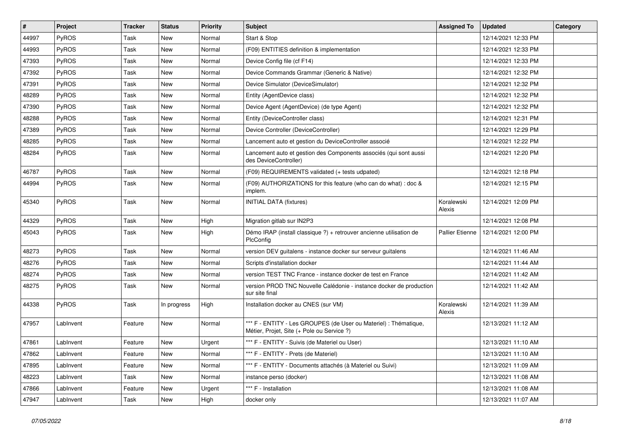| $\vert$ # | Project      | <b>Tracker</b> | <b>Status</b> | <b>Priority</b> | Subject                                                                                                        | <b>Assigned To</b>   | <b>Updated</b>      | Category |
|-----------|--------------|----------------|---------------|-----------------|----------------------------------------------------------------------------------------------------------------|----------------------|---------------------|----------|
| 44997     | PyROS        | Task           | New           | Normal          | Start & Stop                                                                                                   |                      | 12/14/2021 12:33 PM |          |
| 44993     | PyROS        | Task           | New           | Normal          | (F09) ENTITIES definition & implementation                                                                     |                      | 12/14/2021 12:33 PM |          |
| 47393     | <b>PyROS</b> | Task           | New           | Normal          | Device Config file (cf F14)                                                                                    |                      | 12/14/2021 12:33 PM |          |
| 47392     | PyROS        | Task           | New           | Normal          | Device Commands Grammar (Generic & Native)                                                                     |                      | 12/14/2021 12:32 PM |          |
| 47391     | PyROS        | Task           | New           | Normal          | Device Simulator (DeviceSimulator)                                                                             |                      | 12/14/2021 12:32 PM |          |
| 48289     | PyROS        | Task           | New           | Normal          | Entity (AgentDevice class)                                                                                     |                      | 12/14/2021 12:32 PM |          |
| 47390     | PyROS        | Task           | New           | Normal          | Device Agent (AgentDevice) (de type Agent)                                                                     |                      | 12/14/2021 12:32 PM |          |
| 48288     | PyROS        | Task           | New           | Normal          | Entity (DeviceController class)                                                                                |                      | 12/14/2021 12:31 PM |          |
| 47389     | PyROS        | Task           | New           | Normal          | Device Controller (DeviceController)                                                                           |                      | 12/14/2021 12:29 PM |          |
| 48285     | PyROS        | Task           | New           | Normal          | Lancement auto et gestion du DeviceController associé                                                          |                      | 12/14/2021 12:22 PM |          |
| 48284     | PyROS        | Task           | New           | Normal          | Lancement auto et gestion des Components associés (qui sont aussi<br>des DeviceController)                     |                      | 12/14/2021 12:20 PM |          |
| 46787     | PyROS        | Task           | New           | Normal          | (F09) REQUIREMENTS validated (+ tests udpated)                                                                 |                      | 12/14/2021 12:18 PM |          |
| 44994     | PyROS        | Task           | New           | Normal          | (F09) AUTHORIZATIONS for this feature (who can do what) : doc &<br>implem.                                     |                      | 12/14/2021 12:15 PM |          |
| 45340     | PyROS        | Task           | New           | Normal          | <b>INITIAL DATA (fixtures)</b>                                                                                 | Koralewski<br>Alexis | 12/14/2021 12:09 PM |          |
| 44329     | PyROS        | Task           | New           | High            | Migration gitlab sur IN2P3                                                                                     |                      | 12/14/2021 12:08 PM |          |
| 45043     | <b>PyROS</b> | Task           | New           | High            | Démo IRAP (install classique ?) + retrouver ancienne utilisation de<br>PlcConfig                               | Pallier Etienne      | 12/14/2021 12:00 PM |          |
| 48273     | PyROS        | Task           | New           | Normal          | version DEV guitalens - instance docker sur serveur guitalens                                                  |                      | 12/14/2021 11:46 AM |          |
| 48276     | PyROS        | Task           | New           | Normal          | Scripts d'installation docker                                                                                  |                      | 12/14/2021 11:44 AM |          |
| 48274     | PyROS        | Task           | New           | Normal          | version TEST TNC France - instance docker de test en France                                                    |                      | 12/14/2021 11:42 AM |          |
| 48275     | PyROS        | Task           | New           | Normal          | version PROD TNC Nouvelle Calédonie - instance docker de production<br>sur site final                          |                      | 12/14/2021 11:42 AM |          |
| 44338     | PyROS        | Task           | In progress   | High            | Installation docker au CNES (sur VM)                                                                           | Koralewski<br>Alexis | 12/14/2021 11:39 AM |          |
| 47957     | LabInvent    | Feature        | New           | Normal          | *** F - ENTITY - Les GROUPES (de User ou Materiel) : Thématique,<br>Métier, Projet, Site (+ Pole ou Service ?) |                      | 12/13/2021 11:12 AM |          |
| 47861     | LabInvent    | Feature        | New           | Urgent          | *** F - ENTITY - Suivis (de Materiel ou User)                                                                  |                      | 12/13/2021 11:10 AM |          |
| 47862     | LabInvent    | Feature        | New           | Normal          | *** F - ENTITY - Prets (de Materiel)                                                                           |                      | 12/13/2021 11:10 AM |          |
| 47895     | LabInvent    | Feature        | New           | Normal          | *** F - ENTITY - Documents attachés (à Materiel ou Suivi)                                                      |                      | 12/13/2021 11:09 AM |          |
| 48223     | LabInvent    | Task           | New           | Normal          | instance perso (docker)                                                                                        |                      | 12/13/2021 11:08 AM |          |
| 47866     | LabInvent    | Feature        | New           | Urgent          | *** F - Installation                                                                                           |                      | 12/13/2021 11:08 AM |          |
| 47947     | LabInvent    | Task           | New           | High            | docker only                                                                                                    |                      | 12/13/2021 11:07 AM |          |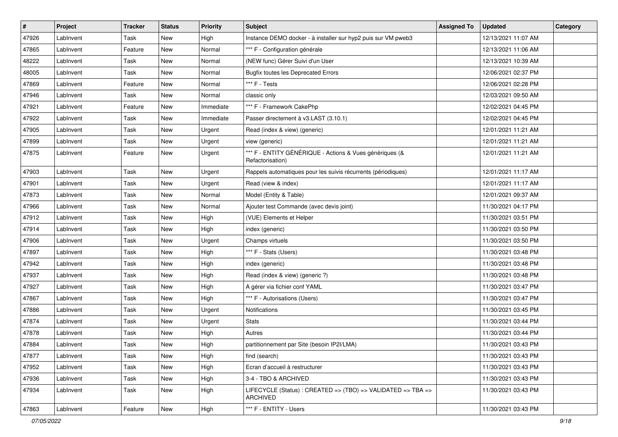| $\vert$ # | <b>Project</b> | <b>Tracker</b> | <b>Status</b> | <b>Priority</b> | <b>Subject</b>                                                              | <b>Assigned To</b> | <b>Updated</b>      | Category |
|-----------|----------------|----------------|---------------|-----------------|-----------------------------------------------------------------------------|--------------------|---------------------|----------|
| 47926     | LabInvent      | Task           | New           | High            | Instance DEMO docker - à installer sur hyp2 puis sur VM pweb3               |                    | 12/13/2021 11:07 AM |          |
| 47865     | LabInvent      | Feature        | New           | Normal          | *** F - Configuration générale                                              |                    | 12/13/2021 11:06 AM |          |
| 48222     | LabInvent      | Task           | New           | Normal          | (NEW func) Gérer Suivi d'un User                                            |                    | 12/13/2021 10:39 AM |          |
| 48005     | LabInvent      | Task           | New           | Normal          | <b>Bugfix toutes les Deprecated Errors</b>                                  |                    | 12/06/2021 02:37 PM |          |
| 47869     | LabInvent      | Feature        | New           | Normal          | *** F - Tests                                                               |                    | 12/06/2021 02:28 PM |          |
| 47946     | LabInvent      | Task           | New           | Normal          | classic only                                                                |                    | 12/03/2021 09:50 AM |          |
| 47921     | LabInvent      | Feature        | New           | Immediate       | *** F - Framework CakePhp                                                   |                    | 12/02/2021 04:45 PM |          |
| 47922     | LabInvent      | Task           | New           | Immediate       | Passer directement à v3.LAST (3.10.1)                                       |                    | 12/02/2021 04:45 PM |          |
| 47905     | LabInvent      | Task           | New           | Urgent          | Read (index & view) (generic)                                               |                    | 12/01/2021 11:21 AM |          |
| 47899     | LabInvent      | Task           | New           | Urgent          | view (generic)                                                              |                    | 12/01/2021 11:21 AM |          |
| 47875     | LabInvent      | Feature        | New           | Urgent          | *** F - ENTITY GÉNÉRIQUE - Actions & Vues génériques (&<br>Refactorisation) |                    | 12/01/2021 11:21 AM |          |
| 47903     | LabInvent      | Task           | New           | Urgent          | Rappels automatiques pour les suivis récurrents (périodiques)               |                    | 12/01/2021 11:17 AM |          |
| 47901     | LabInvent      | Task           | New           | Urgent          | Read (view & index)                                                         |                    | 12/01/2021 11:17 AM |          |
| 47873     | LabInvent      | Task           | New           | Normal          | Model (Entity & Table)                                                      |                    | 12/01/2021 09:37 AM |          |
| 47966     | LabInvent      | Task           | New           | Normal          | Ajouter test Commande (avec devis joint)                                    |                    | 11/30/2021 04:17 PM |          |
| 47912     | LabInvent      | Task           | New           | High            | (VUE) Elements et Helper                                                    |                    | 11/30/2021 03:51 PM |          |
| 47914     | LabInvent      | Task           | New           | High            | index (generic)                                                             |                    | 11/30/2021 03:50 PM |          |
| 47906     | LabInvent      | Task           | New           | Urgent          | Champs virtuels                                                             |                    | 11/30/2021 03:50 PM |          |
| 47897     | LabInvent      | Task           | New           | High            | *** F - Stats (Users)                                                       |                    | 11/30/2021 03:48 PM |          |
| 47942     | LabInvent      | Task           | New           | High            | index (generic)                                                             |                    | 11/30/2021 03:48 PM |          |
| 47937     | LabInvent      | Task           | New           | High            | Read (index & view) (generic ?)                                             |                    | 11/30/2021 03:48 PM |          |
| 47927     | LabInvent      | Task           | New           | High            | A gérer via fichier conf YAML                                               |                    | 11/30/2021 03:47 PM |          |
| 47867     | LabInvent      | Task           | New           | High            | *** F - Autorisations (Users)                                               |                    | 11/30/2021 03:47 PM |          |
| 47886     | LabInvent      | Task           | New           | Urgent          | Notifications                                                               |                    | 11/30/2021 03:45 PM |          |
| 47874     | LabInvent      | Task           | New           | Urgent          | <b>Stats</b>                                                                |                    | 11/30/2021 03:44 PM |          |
| 47878     | LabInvent      | Task           | New           | High            | Autres                                                                      |                    | 11/30/2021 03:44 PM |          |
| 47884     | LabInvent      | Task           | New           | High            | partitionnement par Site (besoin IP2I/LMA)                                  |                    | 11/30/2021 03:43 PM |          |
| 47877     | LabInvent      | Task           | New           | High            | find (search)                                                               |                    | 11/30/2021 03:43 PM |          |
| 47952     | LabInvent      | Task           | New           | High            | Ecran d'accueil à restructurer                                              |                    | 11/30/2021 03:43 PM |          |
| 47936     | LabInvent      | Task           | New           | High            | 3-4 - TBO & ARCHIVED                                                        |                    | 11/30/2021 03:43 PM |          |
| 47934     | LabInvent      | Task           | New           | High            | LIFECYCLE (Status): CREATED => (TBO) => VALIDATED => TBA =><br>ARCHIVED     |                    | 11/30/2021 03:43 PM |          |
| 47863     | LabInvent      | Feature        | New           | High            | *** F - ENTITY - Users                                                      |                    | 11/30/2021 03:43 PM |          |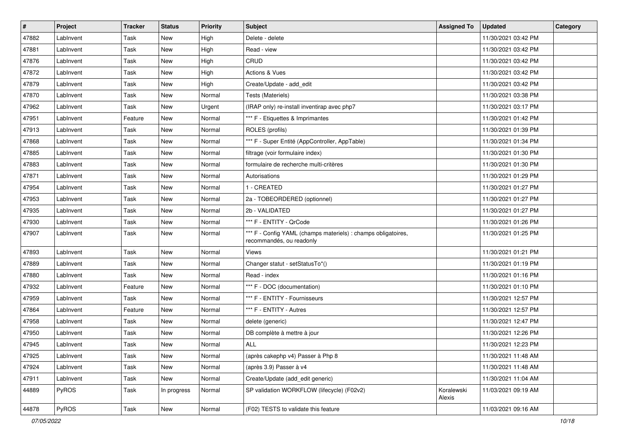| $\vert$ # | Project   | <b>Tracker</b> | <b>Status</b> | <b>Priority</b> | <b>Subject</b>                                                                            | <b>Assigned To</b>   | <b>Updated</b>      | Category |
|-----------|-----------|----------------|---------------|-----------------|-------------------------------------------------------------------------------------------|----------------------|---------------------|----------|
| 47882     | LabInvent | Task           | New           | High            | Delete - delete                                                                           |                      | 11/30/2021 03:42 PM |          |
| 47881     | LabInvent | Task           | New           | High            | Read - view                                                                               |                      | 11/30/2021 03:42 PM |          |
| 47876     | LabInvent | Task           | New           | High            | CRUD                                                                                      |                      | 11/30/2021 03:42 PM |          |
| 47872     | LabInvent | Task           | New           | High            | Actions & Vues                                                                            |                      | 11/30/2021 03:42 PM |          |
| 47879     | LabInvent | Task           | New           | High            | Create/Update - add_edit                                                                  |                      | 11/30/2021 03:42 PM |          |
| 47870     | LabInvent | Task           | New           | Normal          | Tests (Materiels)                                                                         |                      | 11/30/2021 03:38 PM |          |
| 47962     | LabInvent | Task           | New           | Urgent          | (IRAP only) re-install inventirap avec php7                                               |                      | 11/30/2021 03:17 PM |          |
| 47951     | LabInvent | Feature        | New           | Normal          | *** F - Etiquettes & Imprimantes                                                          |                      | 11/30/2021 01:42 PM |          |
| 47913     | LabInvent | Task           | New           | Normal          | ROLES (profils)                                                                           |                      | 11/30/2021 01:39 PM |          |
| 47868     | LabInvent | Task           | New           | Normal          | *** F - Super Entité (AppController, AppTable)                                            |                      | 11/30/2021 01:34 PM |          |
| 47885     | LabInvent | Task           | New           | Normal          | filtrage (voir formulaire index)                                                          |                      | 11/30/2021 01:30 PM |          |
| 47883     | LabInvent | Task           | New           | Normal          | formulaire de recherche multi-critères                                                    |                      | 11/30/2021 01:30 PM |          |
| 47871     | LabInvent | Task           | New           | Normal          | Autorisations                                                                             |                      | 11/30/2021 01:29 PM |          |
| 47954     | LabInvent | Task           | New           | Normal          | 1 - CREATED                                                                               |                      | 11/30/2021 01:27 PM |          |
| 47953     | LabInvent | Task           | New           | Normal          | 2a - TOBEORDERED (optionnel)                                                              |                      | 11/30/2021 01:27 PM |          |
| 47935     | LabInvent | Task           | New           | Normal          | 2b - VALIDATED                                                                            |                      | 11/30/2021 01:27 PM |          |
| 47930     | LabInvent | Task           | New           | Normal          | *** F - ENTITY - QrCode                                                                   |                      | 11/30/2021 01:26 PM |          |
| 47907     | LabInvent | Task           | New           | Normal          | *** F - Config YAML (champs materiels) : champs obligatoires,<br>recommandés, ou readonly |                      | 11/30/2021 01:25 PM |          |
| 47893     | LabInvent | Task           | New           | Normal          | Views                                                                                     |                      | 11/30/2021 01:21 PM |          |
| 47889     | LabInvent | Task           | New           | Normal          | Changer statut - setStatusTo*()                                                           |                      | 11/30/2021 01:19 PM |          |
| 47880     | LabInvent | Task           | New           | Normal          | Read - index                                                                              |                      | 11/30/2021 01:16 PM |          |
| 47932     | LabInvent | Feature        | New           | Normal          | *** F - DOC (documentation)                                                               |                      | 11/30/2021 01:10 PM |          |
| 47959     | LabInvent | Task           | New           | Normal          | *** F - ENTITY - Fournisseurs                                                             |                      | 11/30/2021 12:57 PM |          |
| 47864     | LabInvent | Feature        | New           | Normal          | *** F - ENTITY - Autres                                                                   |                      | 11/30/2021 12:57 PM |          |
| 47958     | LabInvent | Task           | New           | Normal          | delete (generic)                                                                          |                      | 11/30/2021 12:47 PM |          |
| 47950     | LabInvent | Task           | New           | Normal          | DB complète à mettre à jour                                                               |                      | 11/30/2021 12:26 PM |          |
| 47945     | LabInvent | Task           | New           | Normal          | ALL                                                                                       |                      | 11/30/2021 12:23 PM |          |
| 47925     | LabInvent | Task           | New           | Normal          | (après cakephp v4) Passer à Php 8                                                         |                      | 11/30/2021 11:48 AM |          |
| 47924     | LabInvent | Task           | New           | Normal          | (après 3.9) Passer à v4                                                                   |                      | 11/30/2021 11:48 AM |          |
| 47911     | LabInvent | Task           | New           | Normal          | Create/Update (add_edit generic)                                                          |                      | 11/30/2021 11:04 AM |          |
| 44889     | PyROS     | Task           | In progress   | Normal          | SP validation WORKFLOW (lifecycle) (F02v2)                                                | Koralewski<br>Alexis | 11/03/2021 09:19 AM |          |
| 44878     | PyROS     | Task           | New           | Normal          | (F02) TESTS to validate this feature                                                      |                      | 11/03/2021 09:16 AM |          |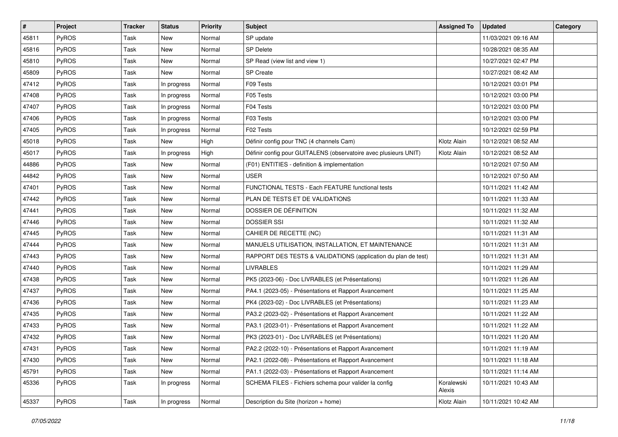| $\sharp$ | Project      | <b>Tracker</b> | <b>Status</b> | <b>Priority</b> | <b>Subject</b>                                                   | <b>Assigned To</b>   | <b>Updated</b>      | Category |
|----------|--------------|----------------|---------------|-----------------|------------------------------------------------------------------|----------------------|---------------------|----------|
| 45811    | <b>PyROS</b> | Task           | New           | Normal          | SP update                                                        |                      | 11/03/2021 09:16 AM |          |
| 45816    | PyROS        | Task           | <b>New</b>    | Normal          | SP Delete                                                        |                      | 10/28/2021 08:35 AM |          |
| 45810    | PyROS        | Task           | New           | Normal          | SP Read (view list and view 1)                                   |                      | 10/27/2021 02:47 PM |          |
| 45809    | PyROS        | Task           | New           | Normal          | SP Create                                                        |                      | 10/27/2021 08:42 AM |          |
| 47412    | PyROS        | Task           | In progress   | Normal          | F09 Tests                                                        |                      | 10/12/2021 03:01 PM |          |
| 47408    | <b>PyROS</b> | Task           | In progress   | Normal          | F05 Tests                                                        |                      | 10/12/2021 03:00 PM |          |
| 47407    | PyROS        | Task           | In progress   | Normal          | F04 Tests                                                        |                      | 10/12/2021 03:00 PM |          |
| 47406    | PyROS        | Task           | In progress   | Normal          | F03 Tests                                                        |                      | 10/12/2021 03:00 PM |          |
| 47405    | PyROS        | Task           | In progress   | Normal          | F02 Tests                                                        |                      | 10/12/2021 02:59 PM |          |
| 45018    | PyROS        | Task           | New           | High            | Définir config pour TNC (4 channels Cam)                         | Klotz Alain          | 10/12/2021 08:52 AM |          |
| 45017    | <b>PyROS</b> | Task           | In progress   | High            | Définir config pour GUITALENS (observatoire avec plusieurs UNIT) | Klotz Alain          | 10/12/2021 08:52 AM |          |
| 44886    | PyROS        | Task           | New           | Normal          | (F01) ENTITIES - definition & implementation                     |                      | 10/12/2021 07:50 AM |          |
| 44842    | PyROS        | Task           | New           | Normal          | USER                                                             |                      | 10/12/2021 07:50 AM |          |
| 47401    | PyROS        | Task           | New           | Normal          | FUNCTIONAL TESTS - Each FEATURE functional tests                 |                      | 10/11/2021 11:42 AM |          |
| 47442    | PyROS        | Task           | New           | Normal          | PLAN DE TESTS ET DE VALIDATIONS                                  |                      | 10/11/2021 11:33 AM |          |
| 47441    | PyROS        | Task           | New           | Normal          | DOSSIER DE DÉFINITION                                            |                      | 10/11/2021 11:32 AM |          |
| 47446    | PyROS        | Task           | New           | Normal          | <b>DOSSIER SSI</b>                                               |                      | 10/11/2021 11:32 AM |          |
| 47445    | PyROS        | Task           | New           | Normal          | CAHIER DE RECETTE (NC)                                           |                      | 10/11/2021 11:31 AM |          |
| 47444    | <b>PyROS</b> | Task           | New           | Normal          | MANUELS UTILISATION, INSTALLATION, ET MAINTENANCE                |                      | 10/11/2021 11:31 AM |          |
| 47443    | PyROS        | Task           | <b>New</b>    | Normal          | RAPPORT DES TESTS & VALIDATIONS (application du plan de test)    |                      | 10/11/2021 11:31 AM |          |
| 47440    | PyROS        | Task           | New           | Normal          | <b>LIVRABLES</b>                                                 |                      | 10/11/2021 11:29 AM |          |
| 47438    | PyROS        | Task           | New           | Normal          | PK5 (2023-06) - Doc LIVRABLES (et Présentations)                 |                      | 10/11/2021 11:26 AM |          |
| 47437    | PyROS        | Task           | <b>New</b>    | Normal          | PA4.1 (2023-05) - Présentations et Rapport Avancement            |                      | 10/11/2021 11:25 AM |          |
| 47436    | PyROS        | Task           | New           | Normal          | PK4 (2023-02) - Doc LIVRABLES (et Présentations)                 |                      | 10/11/2021 11:23 AM |          |
| 47435    | PyROS        | Task           | New           | Normal          | PA3.2 (2023-02) - Présentations et Rapport Avancement            |                      | 10/11/2021 11:22 AM |          |
| 47433    | PyROS        | Task           | New           | Normal          | PA3.1 (2023-01) - Présentations et Rapport Avancement            |                      | 10/11/2021 11:22 AM |          |
| 47432    | PyROS        | Task           | New           | Normal          | PK3 (2023-01) - Doc LIVRABLES (et Présentations)                 |                      | 10/11/2021 11:20 AM |          |
| 47431    | PyROS        | Task           | New           | Normal          | PA2.2 (2022-10) - Présentations et Rapport Avancement            |                      | 10/11/2021 11:19 AM |          |
| 47430    | <b>PyROS</b> | Task           | New           | Normal          | PA2.1 (2022-08) - Présentations et Rapport Avancement            |                      | 10/11/2021 11:18 AM |          |
| 45791    | PyROS        | Task           | New           | Normal          | PA1.1 (2022-03) - Présentations et Rapport Avancement            |                      | 10/11/2021 11:14 AM |          |
| 45336    | <b>PyROS</b> | Task           | In progress   | Normal          | SCHEMA FILES - Fichiers schema pour valider la config            | Koralewski<br>Alexis | 10/11/2021 10:43 AM |          |
| 45337    | PyROS        | Task           | In progress   | Normal          | Description du Site (horizon + home)                             | Klotz Alain          | 10/11/2021 10:42 AM |          |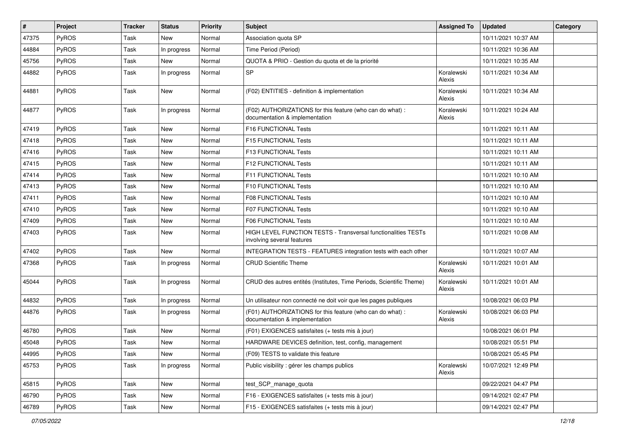| #     | Project      | <b>Tracker</b> | <b>Status</b> | <b>Priority</b> | Subject                                                                                            | <b>Assigned To</b>   | <b>Updated</b>      | Category |
|-------|--------------|----------------|---------------|-----------------|----------------------------------------------------------------------------------------------------|----------------------|---------------------|----------|
| 47375 | <b>PyROS</b> | Task           | New           | Normal          | Association quota SP                                                                               |                      | 10/11/2021 10:37 AM |          |
| 44884 | PyROS        | Task           | In progress   | Normal          | Time Period (Period)                                                                               |                      | 10/11/2021 10:36 AM |          |
| 45756 | <b>PyROS</b> | Task           | New           | Normal          | QUOTA & PRIO - Gestion du quota et de la priorité                                                  |                      | 10/11/2021 10:35 AM |          |
| 44882 | <b>PyROS</b> | Task           | In progress   | Normal          | SP                                                                                                 | Koralewski<br>Alexis | 10/11/2021 10:34 AM |          |
| 44881 | PyROS        | Task           | New           | Normal          | (F02) ENTITIES - definition & implementation                                                       | Koralewski<br>Alexis | 10/11/2021 10:34 AM |          |
| 44877 | <b>PyROS</b> | Task           | In progress   | Normal          | (F02) AUTHORIZATIONS for this feature (who can do what) :<br>documentation & implementation        | Koralewski<br>Alexis | 10/11/2021 10:24 AM |          |
| 47419 | PyROS        | Task           | New           | Normal          | F16 FUNCTIONAL Tests                                                                               |                      | 10/11/2021 10:11 AM |          |
| 47418 | <b>PyROS</b> | Task           | New           | Normal          | F15 FUNCTIONAL Tests                                                                               |                      | 10/11/2021 10:11 AM |          |
| 47416 | <b>PyROS</b> | Task           | New           | Normal          | F13 FUNCTIONAL Tests                                                                               |                      | 10/11/2021 10:11 AM |          |
| 47415 | <b>PyROS</b> | Task           | New           | Normal          | F12 FUNCTIONAL Tests                                                                               |                      | 10/11/2021 10:11 AM |          |
| 47414 | <b>PyROS</b> | Task           | New           | Normal          | F11 FUNCTIONAL Tests                                                                               |                      | 10/11/2021 10:10 AM |          |
| 47413 | <b>PyROS</b> | Task           | <b>New</b>    | Normal          | F10 FUNCTIONAL Tests                                                                               |                      | 10/11/2021 10:10 AM |          |
| 47411 | <b>PyROS</b> | Task           | New           | Normal          | F08 FUNCTIONAL Tests                                                                               |                      | 10/11/2021 10:10 AM |          |
| 47410 | PyROS        | Task           | New           | Normal          | F07 FUNCTIONAL Tests                                                                               |                      | 10/11/2021 10:10 AM |          |
| 47409 | <b>PyROS</b> | Task           | <b>New</b>    | Normal          | F06 FUNCTIONAL Tests                                                                               |                      | 10/11/2021 10:10 AM |          |
| 47403 | <b>PyROS</b> | Task           | New           | Normal          | <b>HIGH LEVEL FUNCTION TESTS - Transversal functionalities TESTs</b><br>involving several features |                      | 10/11/2021 10:08 AM |          |
| 47402 | <b>PyROS</b> | Task           | New           | Normal          | INTEGRATION TESTS - FEATURES integration tests with each other                                     |                      | 10/11/2021 10:07 AM |          |
| 47368 | <b>PyROS</b> | Task           | In progress   | Normal          | <b>CRUD Scientific Theme</b>                                                                       | Koralewski<br>Alexis | 10/11/2021 10:01 AM |          |
| 45044 | <b>PyROS</b> | Task           | In progress   | Normal          | CRUD des autres entités (Institutes, Time Periods, Scientific Theme)                               | Koralewski<br>Alexis | 10/11/2021 10:01 AM |          |
| 44832 | PyROS        | Task           | In progress   | Normal          | Un utilisateur non connecté ne doit voir que les pages publiques                                   |                      | 10/08/2021 06:03 PM |          |
| 44876 | <b>PyROS</b> | Task           | In progress   | Normal          | (F01) AUTHORIZATIONS for this feature (who can do what) :<br>documentation & implementation        | Koralewski<br>Alexis | 10/08/2021 06:03 PM |          |
| 46780 | <b>PyROS</b> | Task           | New           | Normal          | (F01) EXIGENCES satisfaites (+ tests mis à jour)                                                   |                      | 10/08/2021 06:01 PM |          |
| 45048 | PyROS        | Task           | New           | Normal          | HARDWARE DEVICES definition, test, config, management                                              |                      | 10/08/2021 05:51 PM |          |
| 44995 | <b>PyROS</b> | Task           | New           | Normal          | (F09) TESTS to validate this feature                                                               |                      | 10/08/2021 05:45 PM |          |
| 45753 | <b>PyROS</b> | Task           | In progress   | Normal          | Public visibility : gérer les champs publics                                                       | Koralewski<br>Alexis | 10/07/2021 12:49 PM |          |
| 45815 | PyROS        | Task           | New           | Normal          | test_SCP_manage_quota                                                                              |                      | 09/22/2021 04:47 PM |          |
| 46790 | PyROS        | Task           | New           | Normal          | F16 - EXIGENCES satisfaites (+ tests mis à jour)                                                   |                      | 09/14/2021 02:47 PM |          |
| 46789 | PyROS        | Task           | New           | Normal          | F15 - EXIGENCES satisfaites (+ tests mis à jour)                                                   |                      | 09/14/2021 02:47 PM |          |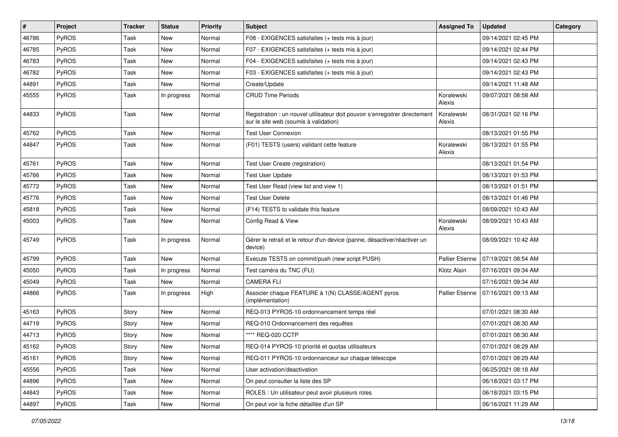| #     | Project      | <b>Tracker</b> | <b>Status</b> | <b>Priority</b> | <b>Subject</b>                                                                                                       | <b>Assigned To</b>     | <b>Updated</b>      | Category |
|-------|--------------|----------------|---------------|-----------------|----------------------------------------------------------------------------------------------------------------------|------------------------|---------------------|----------|
| 46786 | PyROS        | Task           | <b>New</b>    | Normal          | F08 - EXIGENCES satisfaites (+ tests mis à jour)                                                                     |                        | 09/14/2021 02:45 PM |          |
| 46785 | PyROS        | Task           | New           | Normal          | F07 - EXIGENCES satisfaites (+ tests mis à jour)                                                                     |                        | 09/14/2021 02:44 PM |          |
| 46783 | PyROS        | Task           | New           | Normal          | F04 - EXIGENCES satisfaites (+ tests mis à jour)                                                                     |                        | 09/14/2021 02:43 PM |          |
| 46782 | PyROS        | Task           | <b>New</b>    | Normal          | F03 - EXIGENCES satisfaites (+ tests mis à jour)                                                                     |                        | 09/14/2021 02:43 PM |          |
| 44891 | <b>PyROS</b> | Task           | New           | Normal          | Create/Update                                                                                                        |                        | 09/14/2021 11:48 AM |          |
| 45555 | PyROS        | Task           | In progress   | Normal          | <b>CRUD Time Periods</b>                                                                                             | Koralewski<br>Alexis   | 09/07/2021 08:58 AM |          |
| 44833 | PyROS        | Task           | <b>New</b>    | Normal          | Registration : un nouvel utilisateur doit pouvoir s'enregistrer directement<br>sur le site web (soumis à validation) | Koralewski<br>Alexis   | 08/31/2021 02:16 PM |          |
| 45762 | PyROS        | Task           | <b>New</b>    | Normal          | <b>Test User Connexion</b>                                                                                           |                        | 08/13/2021 01:55 PM |          |
| 44847 | <b>PyROS</b> | Task           | New           | Normal          | (F01) TESTS (users) validant cette feature                                                                           | Koralewski<br>Alexis   | 08/13/2021 01:55 PM |          |
| 45761 | PyROS        | Task           | <b>New</b>    | Normal          | Test User Create (registration)                                                                                      |                        | 08/13/2021 01:54 PM |          |
| 45766 | PyROS        | Task           | New           | Normal          | <b>Test User Update</b>                                                                                              |                        | 08/13/2021 01:53 PM |          |
| 45772 | PyROS        | Task           | <b>New</b>    | Normal          | Test User Read (view list and view 1)                                                                                |                        | 08/13/2021 01:51 PM |          |
| 45776 | <b>PyROS</b> | Task           | New           | Normal          | <b>Test User Delete</b>                                                                                              |                        | 08/13/2021 01:46 PM |          |
| 45818 | <b>PyROS</b> | Task           | New           | Normal          | (F14) TESTS to validate this feature                                                                                 |                        | 08/09/2021 10:43 AM |          |
| 45003 | PyROS        | Task           | <b>New</b>    | Normal          | Config Read & View                                                                                                   | Koralewski<br>Alexis   | 08/09/2021 10:43 AM |          |
| 45749 | PyROS        | Task           | In progress   | Normal          | Gérer le retrait et le retour d'un device (panne, désactiver/réactiver un<br>device)                                 |                        | 08/09/2021 10:42 AM |          |
| 45799 | PyROS        | Task           | New           | Normal          | Execute TESTS on commit/push (new script PUSH)                                                                       | <b>Pallier Etienne</b> | 07/19/2021 08:54 AM |          |
| 45050 | <b>PyROS</b> | Task           | In progress   | Normal          | Test caméra du TNC (FLI)                                                                                             | Klotz Alain            | 07/16/2021 09:34 AM |          |
| 45049 | PyROS        | Task           | New           | Normal          | <b>CAMERA FLI</b>                                                                                                    |                        | 07/16/2021 09:34 AM |          |
| 44866 | PyROS        | Task           | In progress   | High            | Associer chaque FEATURE à 1(N) CLASSE/AGENT pyros<br>(implémentation)                                                | <b>Pallier Etienne</b> | 07/16/2021 09:13 AM |          |
| 45163 | PyROS        | Story          | <b>New</b>    | Normal          | REQ-013 PYROS-10 ordonnancement temps réel                                                                           |                        | 07/01/2021 08:30 AM |          |
| 44719 | PyROS        | Story          | New           | Normal          | REQ-010 Ordonnancement des requêtes                                                                                  |                        | 07/01/2021 08:30 AM |          |
| 44713 | PyROS        | Story          | <b>New</b>    | Normal          | **** REQ-020 CCTP                                                                                                    |                        | 07/01/2021 08:30 AM |          |
| 45162 | <b>PyROS</b> | Story          | New           | Normal          | REQ-014 PYROS-10 priorité et quotas utilisateurs                                                                     |                        | 07/01/2021 08:29 AM |          |
| 45161 | PyROS        | Story          | New           | Normal          | REQ-011 PYROS-10 ordonnanceur sur chaque télescope                                                                   |                        | 07/01/2021 08:29 AM |          |
| 45556 | PyROS        | Task           | New           | Normal          | User activation/deactivation                                                                                         |                        | 06/25/2021 08:18 AM |          |
| 44896 | PyROS        | Task           | New           | Normal          | On peut consulter la liste des SP                                                                                    |                        | 06/18/2021 03:17 PM |          |
| 44843 | PyROS        | Task           | New           | Normal          | ROLES : Un utilisateur peut avoir plusieurs roles                                                                    |                        | 06/18/2021 03:15 PM |          |
| 44897 | PyROS        | Task           | New           | Normal          | On peut voir la fiche détaillée d'un SP                                                                              |                        | 06/16/2021 11:29 AM |          |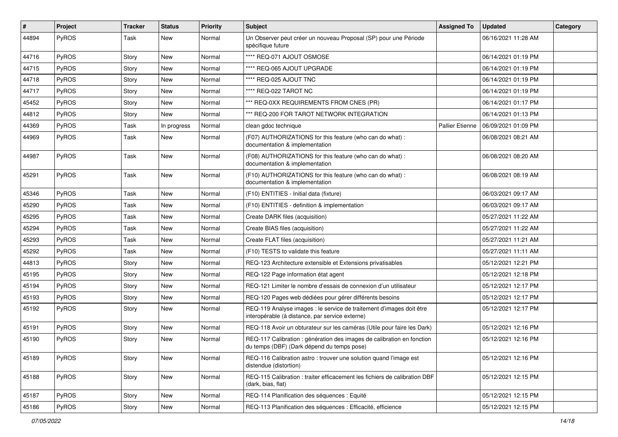| #     | Project      | <b>Tracker</b> | <b>Status</b> | <b>Priority</b> | Subject                                                                                                                 | <b>Assigned To</b>     | <b>Updated</b>      | Category |
|-------|--------------|----------------|---------------|-----------------|-------------------------------------------------------------------------------------------------------------------------|------------------------|---------------------|----------|
| 44894 | PyROS        | Task           | New           | Normal          | Un Observer peut créer un nouveau Proposal (SP) pour une Période<br>spécifique future                                   |                        | 06/16/2021 11:28 AM |          |
| 44716 | PyROS        | Story          | <b>New</b>    | Normal          | **** REQ-071 AJOUT OSMOSE                                                                                               |                        | 06/14/2021 01:19 PM |          |
| 44715 | PyROS        | Story          | New           | Normal          | **** REQ-065 AJOUT UPGRADE                                                                                              |                        | 06/14/2021 01:19 PM |          |
| 44718 | PyROS        | Story          | <b>New</b>    | Normal          | **** REQ-025 AJOUT TNC                                                                                                  |                        | 06/14/2021 01:19 PM |          |
| 44717 | <b>PyROS</b> | Story          | New           | Normal          | **** REQ-022 TAROT NC                                                                                                   |                        | 06/14/2021 01:19 PM |          |
| 45452 | PyROS        | Story          | New           | Normal          | *** REQ-0XX REQUIREMENTS FROM CNES (PR)                                                                                 |                        | 06/14/2021 01:17 PM |          |
| 44812 | <b>PyROS</b> | Story          | New           | Normal          | *** REQ-200 FOR TAROT NETWORK INTEGRATION                                                                               |                        | 06/14/2021 01:13 PM |          |
| 44369 | PyROS        | Task           | In progress   | Normal          | clean gdoc technique                                                                                                    | <b>Pallier Etienne</b> | 06/09/2021 01:09 PM |          |
| 44969 | PyROS        | Task           | New           | Normal          | (F07) AUTHORIZATIONS for this feature (who can do what) :<br>documentation & implementation                             |                        | 06/08/2021 08:21 AM |          |
| 44987 | PyROS        | Task           | <b>New</b>    | Normal          | (F08) AUTHORIZATIONS for this feature (who can do what) :<br>documentation & implementation                             |                        | 06/08/2021 08:20 AM |          |
| 45291 | PyROS        | Task           | New           | Normal          | (F10) AUTHORIZATIONS for this feature (who can do what) :<br>documentation & implementation                             |                        | 06/08/2021 08:19 AM |          |
| 45346 | PyROS        | Task           | New           | Normal          | (F10) ENTITIES - Initial data (fixture)                                                                                 |                        | 06/03/2021 09:17 AM |          |
| 45290 | <b>PyROS</b> | Task           | <b>New</b>    | Normal          | (F10) ENTITIES - definition & implementation                                                                            |                        | 06/03/2021 09:17 AM |          |
| 45295 | PyROS        | Task           | New           | Normal          | Create DARK files (acquisition)                                                                                         |                        | 05/27/2021 11:22 AM |          |
| 45294 | <b>PyROS</b> | Task           | <b>New</b>    | Normal          | Create BIAS files (acquisition)                                                                                         |                        | 05/27/2021 11:22 AM |          |
| 45293 | PyROS        | Task           | New           | Normal          | Create FLAT files (acquisition)                                                                                         |                        | 05/27/2021 11:21 AM |          |
| 45292 | PyROS        | Task           | New           | Normal          | (F10) TESTS to validate this feature                                                                                    |                        | 05/27/2021 11:11 AM |          |
| 44813 | <b>PyROS</b> | Story          | New           | Normal          | REQ-123 Architecture extensible et Extensions privatisables                                                             |                        | 05/12/2021 12:21 PM |          |
| 45195 | PyROS        | Story          | New           | Normal          | REQ-122 Page information état agent                                                                                     |                        | 05/12/2021 12:18 PM |          |
| 45194 | PyROS        | Story          | New           | Normal          | REQ-121 Limiter le nombre d'essais de connexion d'un utilisateur                                                        |                        | 05/12/2021 12:17 PM |          |
| 45193 | PyROS        | Story          | New           | Normal          | REQ-120 Pages web dédiées pour gérer différents besoins                                                                 |                        | 05/12/2021 12:17 PM |          |
| 45192 | PyROS        | Story          | <b>New</b>    | Normal          | REQ-119 Analyse images : le service de traitement d'images doit être<br>interopérable (à distance, par service externe) |                        | 05/12/2021 12:17 PM |          |
| 45191 | PyROS        | Story          | <b>New</b>    | Normal          | REQ-118 Avoir un obturateur sur les caméras (Utile pour faire les Dark)                                                 |                        | 05/12/2021 12:16 PM |          |
| 45190 | PyROS        | Story          | <b>New</b>    | Normal          | REQ-117 Calibration : génération des images de calibration en fonction<br>du temps (DBF) (Dark dépend du temps pose)    |                        | 05/12/2021 12:16 PM |          |
| 45189 | PyROS        | Story          | New           | Normal          | REQ-116 Calibration astro: trouver une solution quand l'image est<br>distendue (distortion)                             |                        | 05/12/2021 12:16 PM |          |
| 45188 | PyROS        | Story          | New           | Normal          | REQ-115 Calibration : traiter efficacement les fichiers de calibration DBF<br>(dark, bias, flat)                        |                        | 05/12/2021 12:15 PM |          |
| 45187 | PyROS        | Story          | New           | Normal          | REQ-114 Planification des séquences : Equité                                                                            |                        | 05/12/2021 12:15 PM |          |
| 45186 | PyROS        | Story          | New           | Normal          | REQ-113 Planification des séquences : Efficacité, efficience                                                            |                        | 05/12/2021 12:15 PM |          |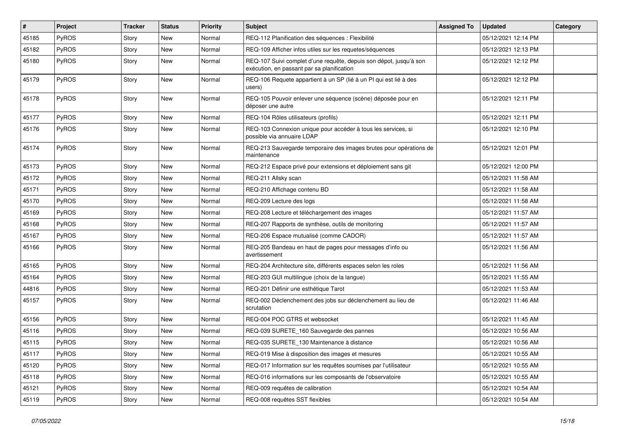| $\sharp$ | Project | Tracker | <b>Status</b> | <b>Priority</b> | Subject                                                                                                          | <b>Assigned To</b> | <b>Updated</b>      | Category |
|----------|---------|---------|---------------|-----------------|------------------------------------------------------------------------------------------------------------------|--------------------|---------------------|----------|
| 45185    | PyROS   | Story   | <b>New</b>    | Normal          | REQ-112 Planification des séquences : Flexibilité                                                                |                    | 05/12/2021 12:14 PM |          |
| 45182    | PyROS   | Story   | New           | Normal          | REQ-109 Afficher infos utiles sur les requetes/séquences                                                         |                    | 05/12/2021 12:13 PM |          |
| 45180    | PyROS   | Story   | New           | Normal          | REQ-107 Suivi complet d'une requête, depuis son dépot, jusqu'à son<br>exécution, en passant par sa planification |                    | 05/12/2021 12:12 PM |          |
| 45179    | PyROS   | Story   | New           | Normal          | REQ-106 Requete appartient à un SP (lié à un PI qui est lié à des<br>users)                                      |                    | 05/12/2021 12:12 PM |          |
| 45178    | PyROS   | Story   | New           | Normal          | REQ-105 Pouvoir enlever une séquence (scène) déposée pour en<br>déposer une autre                                |                    | 05/12/2021 12:11 PM |          |
| 45177    | PyROS   | Story   | New           | Normal          | REQ-104 Rôles utilisateurs (profils)                                                                             |                    | 05/12/2021 12:11 PM |          |
| 45176    | PyROS   | Story   | New           | Normal          | REQ-103 Connexion unique pour accéder à tous les services, si<br>possible via annuaire LDAP                      |                    | 05/12/2021 12:10 PM |          |
| 45174    | PyROS   | Story   | New           | Normal          | REQ-213 Sauvegarde temporaire des images brutes pour opérations de<br>maintenance                                |                    | 05/12/2021 12:01 PM |          |
| 45173    | PyROS   | Story   | New           | Normal          | REQ-212 Espace privé pour extensions et déploiement sans git                                                     |                    | 05/12/2021 12:00 PM |          |
| 45172    | PyROS   | Story   | New           | Normal          | REQ-211 Allsky scan                                                                                              |                    | 05/12/2021 11:58 AM |          |
| 45171    | PyROS   | Story   | New           | Normal          | REQ-210 Affichage contenu BD                                                                                     |                    | 05/12/2021 11:58 AM |          |
| 45170    | PyROS   | Story   | New           | Normal          | REQ-209 Lecture des logs                                                                                         |                    | 05/12/2021 11:58 AM |          |
| 45169    | PyROS   | Story   | New           | Normal          | REQ-208 Lecture et téléchargement des images                                                                     |                    | 05/12/2021 11:57 AM |          |
| 45168    | PyROS   | Story   | New           | Normal          | REQ-207 Rapports de synthèse, outils de monitoring                                                               |                    | 05/12/2021 11:57 AM |          |
| 45167    | PyROS   | Story   | New           | Normal          | REQ-206 Espace mutualisé (comme CADOR)                                                                           |                    | 05/12/2021 11:57 AM |          |
| 45166    | PyROS   | Story   | New           | Normal          | REQ-205 Bandeau en haut de pages pour messages d'info ou<br>avertissement                                        |                    | 05/12/2021 11:56 AM |          |
| 45165    | PyROS   | Story   | New           | Normal          | REQ-204 Architecture site, différents espaces selon les roles                                                    |                    | 05/12/2021 11:56 AM |          |
| 45164    | PyROS   | Story   | New           | Normal          | REQ-203 GUI multilingue (choix de la langue)                                                                     |                    | 05/12/2021 11:55 AM |          |
| 44816    | PyROS   | Story   | New           | Normal          | REQ-201 Définir une esthétique Tarot                                                                             |                    | 05/12/2021 11:53 AM |          |
| 45157    | PyROS   | Story   | New           | Normal          | REQ-002 Déclenchement des jobs sur déclenchement au lieu de<br>scrutation                                        |                    | 05/12/2021 11:46 AM |          |
| 45156    | PyROS   | Story   | New           | Normal          | REQ-004 POC GTRS et websocket                                                                                    |                    | 05/12/2021 11:45 AM |          |
| 45116    | PyROS   | Story   | New           | Normal          | REQ-039 SURETE_160 Sauvegarde des pannes                                                                         |                    | 05/12/2021 10:56 AM |          |
| 45115    | PyROS   | Story   | New           | Normal          | REQ-035 SURETE_130 Maintenance à distance                                                                        |                    | 05/12/2021 10:56 AM |          |
| 45117    | PyROS   | Story   | <b>New</b>    | Normal          | REQ-019 Mise à disposition des images et mesures                                                                 |                    | 05/12/2021 10:55 AM |          |
| 45120    | PyROS   | Story   | New           | Normal          | REQ-017 Information sur les requêtes soumises par l'utilisateur                                                  |                    | 05/12/2021 10:55 AM |          |
| 45118    | PyROS   | Story   | New           | Normal          | REQ-016 informations sur les composants de l'observatoire                                                        |                    | 05/12/2021 10:55 AM |          |
| 45121    | PyROS   | Story   | New           | Normal          | REQ-009 requêtes de calibration                                                                                  |                    | 05/12/2021 10:54 AM |          |
| 45119    | PyROS   | Story   | New           | Normal          | REQ-008 requêtes SST flexibles                                                                                   |                    | 05/12/2021 10:54 AM |          |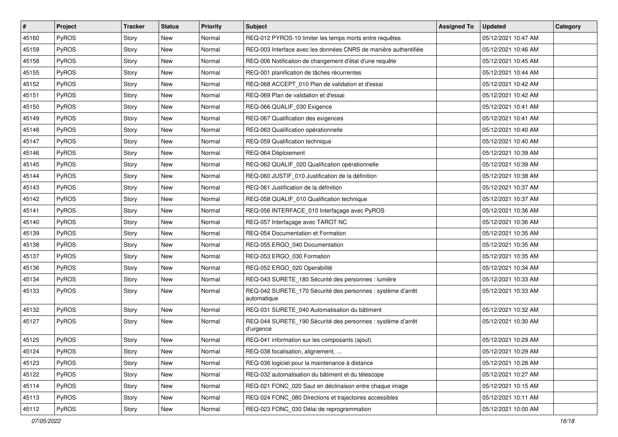| #     | Project | <b>Tracker</b> | <b>Status</b> | <b>Priority</b> | <b>Subject</b>                                                             | <b>Assigned To</b> | <b>Updated</b>      | Category |
|-------|---------|----------------|---------------|-----------------|----------------------------------------------------------------------------|--------------------|---------------------|----------|
| 45160 | PyROS   | Story          | New           | Normal          | REQ-012 PYROS-10 limiter les temps morts entre requêtes                    |                    | 05/12/2021 10:47 AM |          |
| 45159 | PyROS   | Story          | <b>New</b>    | Normal          | REQ-003 Interface avec les données CNRS de manière authentifiée            |                    | 05/12/2021 10:46 AM |          |
| 45158 | PyROS   | Story          | New           | Normal          | REQ-006 Notification de changement d'état d'une requête                    |                    | 05/12/2021 10:45 AM |          |
| 45155 | PyROS   | Story          | New           | Normal          | REQ-001 planification de tâches récurrentes                                |                    | 05/12/2021 10:44 AM |          |
| 45152 | PyROS   | Story          | New           | Normal          | REQ-068 ACCEPT_010 Plan de validation et d'essai                           |                    | 05/12/2021 10:42 AM |          |
| 45151 | PyROS   | Story          | New           | Normal          | REQ-069 Plan de validation et d'essai                                      |                    | 05/12/2021 10:42 AM |          |
| 45150 | PyROS   | Story          | New           | Normal          | REQ-066 QUALIF_030 Exigence                                                |                    | 05/12/2021 10:41 AM |          |
| 45149 | PyROS   | Story          | New           | Normal          | REQ-067 Qualification des exigences                                        |                    | 05/12/2021 10:41 AM |          |
| 45148 | PyROS   | Story          | New           | Normal          | REQ-063 Qualification opérationnelle                                       |                    | 05/12/2021 10:40 AM |          |
| 45147 | PyROS   | Story          | New           | Normal          | REQ-059 Qualification technique                                            |                    | 05/12/2021 10:40 AM |          |
| 45146 | PyROS   | Story          | New           | Normal          | REQ-064 Déploiement                                                        |                    | 05/12/2021 10:39 AM |          |
| 45145 | PyROS   | Story          | New           | Normal          | REQ-062 QUALIF_020 Qualification opérationnelle                            |                    | 05/12/2021 10:39 AM |          |
| 45144 | PyROS   | Story          | New           | Normal          | REQ-060 JUSTIF_010 Justification de la définition                          |                    | 05/12/2021 10:38 AM |          |
| 45143 | PyROS   | Story          | New           | Normal          | REQ-061 Justification de la définition                                     |                    | 05/12/2021 10:37 AM |          |
| 45142 | PyROS   | Story          | New           | Normal          | REQ-058 QUALIF_010 Qualification technique                                 |                    | 05/12/2021 10:37 AM |          |
| 45141 | PyROS   | Story          | New           | Normal          | REQ-056 INTERFACE_010 Interfaçage avec PyROS                               |                    | 05/12/2021 10:36 AM |          |
| 45140 | PyROS   | Story          | New           | Normal          | REQ-057 Interfaçage avec TAROT NC                                          |                    | 05/12/2021 10:36 AM |          |
| 45139 | PyROS   | Story          | New           | Normal          | REQ-054 Documentation et Formation                                         |                    | 05/12/2021 10:35 AM |          |
| 45138 | PyROS   | Story          | New           | Normal          | REQ-055 ERGO 040 Documentation                                             |                    | 05/12/2021 10:35 AM |          |
| 45137 | PyROS   | Story          | <b>New</b>    | Normal          | REQ-053 ERGO_030 Formation                                                 |                    | 05/12/2021 10:35 AM |          |
| 45136 | PyROS   | Story          | New           | Normal          | REQ-052 ERGO_020 Operabilité                                               |                    | 05/12/2021 10:34 AM |          |
| 45134 | PyROS   | Story          | New           | Normal          | REQ-043 SURETE_180 Sécurité des personnes : lumière                        |                    | 05/12/2021 10:33 AM |          |
| 45133 | PyROS   | Story          | New           | Normal          | REQ-042 SURETE_170 Sécurité des personnes : système d'arrêt<br>automatique |                    | 05/12/2021 10:33 AM |          |
| 45132 | PyROS   | Story          | New           | Normal          | REQ-031 SURETE_040 Automatisation du bâtiment                              |                    | 05/12/2021 10:32 AM |          |
| 45127 | PyROS   | Story          | New           | Normal          | REQ-044 SURETE_190 Sécurité des personnes : système d'arrêt<br>d'urgence   |                    | 05/12/2021 10:30 AM |          |
| 45125 | PyROS   | Story          | New           | Normal          | REQ-041 information sur les composants (ajout)                             |                    | 05/12/2021 10:29 AM |          |
| 45124 | PyROS   | Story          | New           | Normal          | REQ-038 focalisation, alignement,                                          |                    | 05/12/2021 10:29 AM |          |
| 45123 | PyROS   | Story          | New           | Normal          | REQ-036 logiciel pour la maintenance à distance                            |                    | 05/12/2021 10:28 AM |          |
| 45122 | PyROS   | Story          | New           | Normal          | REQ-032 automatisation du bâtiment et du télescope                         |                    | 05/12/2021 10:27 AM |          |
| 45114 | PyROS   | Story          | New           | Normal          | REQ-021 FONC 020 Saut en déclinaison entre chaque image                    |                    | 05/12/2021 10:15 AM |          |
| 45113 | PyROS   | Story          | New           | Normal          | REQ-024 FONC_080 Directions et trajectoires accessibles                    |                    | 05/12/2021 10:11 AM |          |
| 45112 | PyROS   | Story          | New           | Normal          | REQ-023 FONC_030 Délai de reprogrammation                                  |                    | 05/12/2021 10:00 AM |          |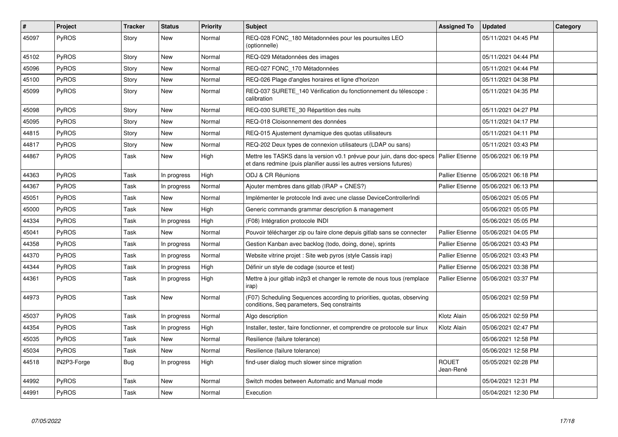| $\#$  | Project      | <b>Tracker</b> | <b>Status</b> | <b>Priority</b> | <b>Subject</b>                                                                                                                                 | <b>Assigned To</b>        | <b>Updated</b>      | Category |
|-------|--------------|----------------|---------------|-----------------|------------------------------------------------------------------------------------------------------------------------------------------------|---------------------------|---------------------|----------|
| 45097 | <b>PyROS</b> | Story          | New           | Normal          | REQ-028 FONC_180 Métadonnées pour les poursuites LEO<br>(optionnelle)                                                                          |                           | 05/11/2021 04:45 PM |          |
| 45102 | <b>PyROS</b> | Story          | New           | Normal          | REQ-029 Métadonnées des images                                                                                                                 |                           | 05/11/2021 04:44 PM |          |
| 45096 | <b>PyROS</b> | Story          | New           | Normal          | REQ-027 FONC 170 Métadonnées                                                                                                                   |                           | 05/11/2021 04:44 PM |          |
| 45100 | PyROS        | Story          | New           | Normal          | REQ-026 Plage d'angles horaires et ligne d'horizon                                                                                             |                           | 05/11/2021 04:38 PM |          |
| 45099 | <b>PyROS</b> | Story          | New           | Normal          | REQ-037 SURETE 140 Vérification du fonctionnement du télescope :<br>calibration                                                                |                           | 05/11/2021 04:35 PM |          |
| 45098 | <b>PyROS</b> | Story          | New           | Normal          | REQ-030 SURETE_30 Répartition des nuits                                                                                                        |                           | 05/11/2021 04:27 PM |          |
| 45095 | <b>PyROS</b> | Story          | New           | Normal          | REQ-018 Cloisonnement des données                                                                                                              |                           | 05/11/2021 04:17 PM |          |
| 44815 | <b>PyROS</b> | Story          | New           | Normal          | REQ-015 Ajustement dynamique des quotas utilisateurs                                                                                           |                           | 05/11/2021 04:11 PM |          |
| 44817 | <b>PyROS</b> | Story          | New           | Normal          | REQ-202 Deux types de connexion utilisateurs (LDAP ou sans)                                                                                    |                           | 05/11/2021 03:43 PM |          |
| 44867 | <b>PyROS</b> | Task           | New           | High            | Mettre les TASKS dans la version v0.1 prévue pour juin, dans doc-specs  <br>et dans redmine (puis planifier aussi les autres versions futures) | <b>Pallier Etienne</b>    | 05/06/2021 06:19 PM |          |
| 44363 | <b>PyROS</b> | Task           | In progress   | High            | ODJ & CR Réunions                                                                                                                              | <b>Pallier Etienne</b>    | 05/06/2021 06:18 PM |          |
| 44367 | <b>PyROS</b> | Task           | In progress   | Normal          | Ajouter membres dans gitlab (IRAP + $CNES$ ?)                                                                                                  | <b>Pallier Etienne</b>    | 05/06/2021 06:13 PM |          |
| 45051 | <b>PyROS</b> | Task           | New           | Normal          | Implémenter le protocole Indi avec une classe DeviceControllerIndi                                                                             |                           | 05/06/2021 05:05 PM |          |
| 45000 | <b>PyROS</b> | Task           | New           | High            | Generic commands grammar description & management                                                                                              |                           | 05/06/2021 05:05 PM |          |
| 44334 | <b>PyROS</b> | Task           | In progress   | High            | (F08) Intégration protocole INDI                                                                                                               |                           | 05/06/2021 05:05 PM |          |
| 45041 | PyROS        | Task           | New           | Normal          | Pouvoir télécharger zip ou faire clone depuis gitlab sans se connecter                                                                         | <b>Pallier Etienne</b>    | 05/06/2021 04:05 PM |          |
| 44358 | <b>PyROS</b> | Task           | In progress   | Normal          | Gestion Kanban avec backlog (todo, doing, done), sprints                                                                                       | <b>Pallier Etienne</b>    | 05/06/2021 03:43 PM |          |
| 44370 | <b>PyROS</b> | Task           | In progress   | Normal          | Website vitrine projet : Site web pyros (style Cassis irap)                                                                                    | Pallier Etienne           | 05/06/2021 03:43 PM |          |
| 44344 | <b>PyROS</b> | Task           | In progress   | High            | Définir un style de codage (source et test)                                                                                                    | <b>Pallier Etienne</b>    | 05/06/2021 03:38 PM |          |
| 44361 | <b>PyROS</b> | Task           | In progress   | High            | Mettre à jour gitlab in2p3 et changer le remote de nous tous (remplace<br>irap)                                                                | <b>Pallier Etienne</b>    | 05/06/2021 03:37 PM |          |
| 44973 | <b>PyROS</b> | Task           | New           | Normal          | (F07) Scheduling Sequences according to priorities, quotas, observing<br>conditions, Seg parameters, Seg constraints                           |                           | 05/06/2021 02:59 PM |          |
| 45037 | <b>PyROS</b> | Task           | In progress   | Normal          | Algo description                                                                                                                               | Klotz Alain               | 05/06/2021 02:59 PM |          |
| 44354 | <b>PyROS</b> | Task           | In progress   | High            | Installer, tester, faire fonctionner, et comprendre ce protocole sur linux                                                                     | Klotz Alain               | 05/06/2021 02:47 PM |          |
| 45035 | <b>PyROS</b> | Task           | New           | Normal          | Resilience (failure tolerance)                                                                                                                 |                           | 05/06/2021 12:58 PM |          |
| 45034 | <b>PyROS</b> | Task           | New           | Normal          | Resilience (failure tolerance)                                                                                                                 |                           | 05/06/2021 12:58 PM |          |
| 44518 | IN2P3-Forge  | Bug            | In progress   | High            | find-user dialog much slower since migration                                                                                                   | <b>ROUET</b><br>Jean-René | 05/05/2021 02:28 PM |          |
| 44992 | PyROS        | Task           | New           | Normal          | Switch modes between Automatic and Manual mode                                                                                                 |                           | 05/04/2021 12:31 PM |          |
| 44991 | PyROS        | Task           | New           | Normal          | Execution                                                                                                                                      |                           | 05/04/2021 12:30 PM |          |